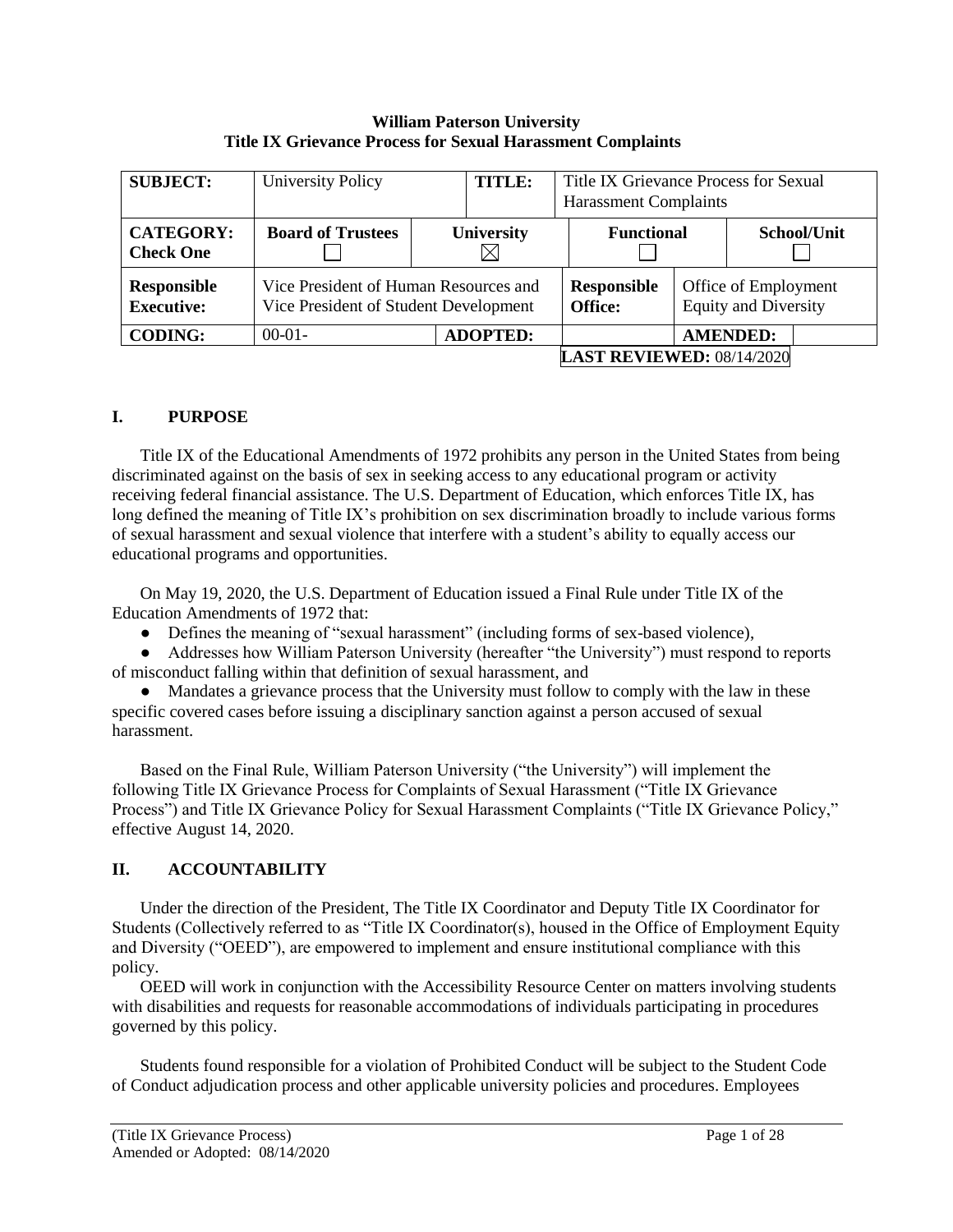#### **William Paterson University Title IX Grievance Process for Sexual Harassment Complaints**

| <b>SUBJECT:</b>                         | University Policy<br>TITLE:                                                    |                   | Title IX Grievance Process for Sexual<br><b>Harassment Complaints</b> |                                                     |                 |             |
|-----------------------------------------|--------------------------------------------------------------------------------|-------------------|-----------------------------------------------------------------------|-----------------------------------------------------|-----------------|-------------|
| <b>CATEGORY:</b><br><b>Check One</b>    | <b>Board of Trustees</b>                                                       | <b>University</b> | <b>Functional</b>                                                     |                                                     |                 | School/Unit |
| <b>Responsible</b><br><b>Executive:</b> | Vice President of Human Resources and<br>Vice President of Student Development |                   | <b>Responsible</b><br>Office:                                         | Office of Employment<br><b>Equity and Diversity</b> |                 |             |
| <b>CODING:</b>                          | $00-01-$                                                                       | <b>ADOPTED:</b>   |                                                                       |                                                     | <b>AMENDED:</b> |             |
| <b>LAST REVIEWED: 08/14/2020</b>        |                                                                                |                   |                                                                       |                                                     |                 |             |

# **I. PURPOSE**

Title IX of the Educational Amendments of 1972 prohibits any person in the United States from being discriminated against on the basis of sex in seeking access to any educational program or activity receiving federal financial assistance. The U.S. Department of Education, which enforces Title IX, has long defined the meaning of Title IX's prohibition on sex discrimination broadly to include various forms of sexual harassment and sexual violence that interfere with a student's ability to equally access our educational programs and opportunities.

On May 19, 2020, the U.S. Department of Education issued a Final Rule under Title IX of the Education Amendments of 1972 that:

● Defines the meaning of "sexual harassment" (including forms of sex-based violence),

● Addresses how William Paterson University (hereafter "the University") must respond to reports of misconduct falling within that definition of sexual harassment, and

• Mandates a grievance process that the University must follow to comply with the law in these specific covered cases before issuing a disciplinary sanction against a person accused of sexual harassment.

Based on the Final Rule, William Paterson University ("the University") will implement the following Title IX Grievance Process for Complaints of Sexual Harassment ("Title IX Grievance Process") and Title IX Grievance Policy for Sexual Harassment Complaints ("Title IX Grievance Policy," effective August 14, 2020.

# **II. ACCOUNTABILITY**

Under the direction of the President, The Title IX Coordinator and Deputy Title IX Coordinator for Students (Collectively referred to as "Title IX Coordinator(s), housed in the Office of Employment Equity and Diversity ("OEED"), are empowered to implement and ensure institutional compliance with this policy.

OEED will work in conjunction with the Accessibility Resource Center on matters involving students with disabilities and requests for reasonable accommodations of individuals participating in procedures governed by this policy.

Students found responsible for a violation of Prohibited Conduct will be subject to the Student Code of Conduct adjudication process and other applicable university policies and procedures. Employees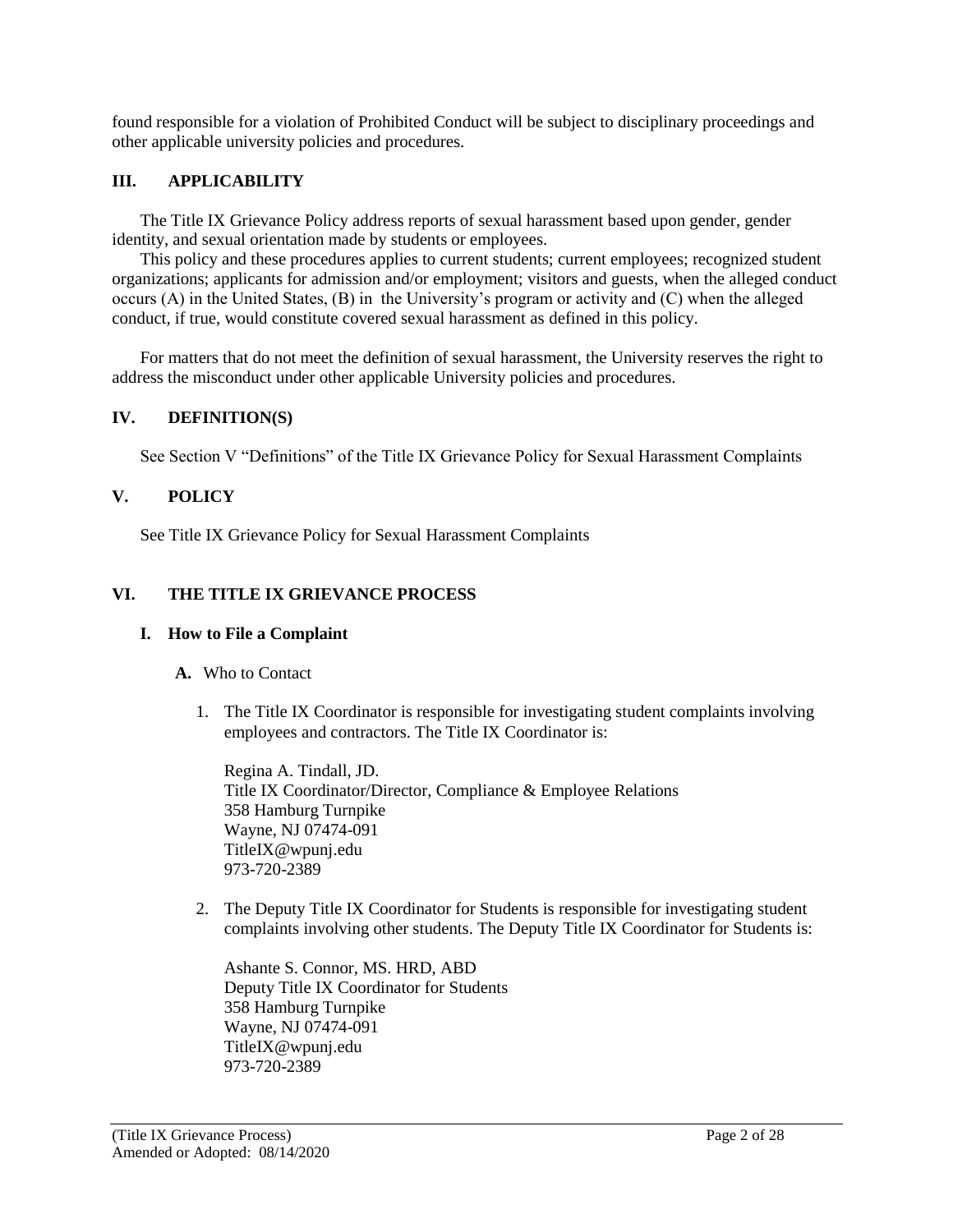found responsible for a violation of Prohibited Conduct will be subject to disciplinary proceedings and other applicable university policies and procedures.

## **III. APPLICABILITY**

The Title IX Grievance Policy address reports of sexual harassment based upon gender, gender identity, and sexual orientation made by students or employees.

This policy and these procedures applies to current students; current employees; recognized student organizations; applicants for admission and/or employment; visitors and guests, when the alleged conduct occurs (A) in the United States, (B) in the University's program or activity and (C) when the alleged conduct, if true, would constitute covered sexual harassment as defined in this policy.

For matters that do not meet the definition of sexual harassment, the University reserves the right to address the misconduct under other applicable University policies and procedures.

### **IV. DEFINITION(S)**

See Section V "Definitions" of the Title IX Grievance Policy for Sexual Harassment Complaints

## **V. POLICY**

See Title IX Grievance Policy for Sexual Harassment Complaints

## **VI. THE TITLE IX GRIEVANCE PROCESS**

### **I. How to File a Complaint**

### **A.** Who to Contact

1. The Title IX Coordinator is responsible for investigating student complaints involving employees and contractors. The Title IX Coordinator is:

Regina A. Tindall, JD. Title IX Coordinator/Director, Compliance & Employee Relations 358 Hamburg Turnpike Wayne, NJ 07474-091 TitleIX@wpunj.edu 973-720-2389

2. The Deputy Title IX Coordinator for Students is responsible for investigating student complaints involving other students. The Deputy Title IX Coordinator for Students is:

Ashante S. Connor, MS. HRD, ABD Deputy Title IX Coordinator for Students 358 Hamburg Turnpike Wayne, NJ 07474-091 TitleIX@wpunj.edu 973-720-2389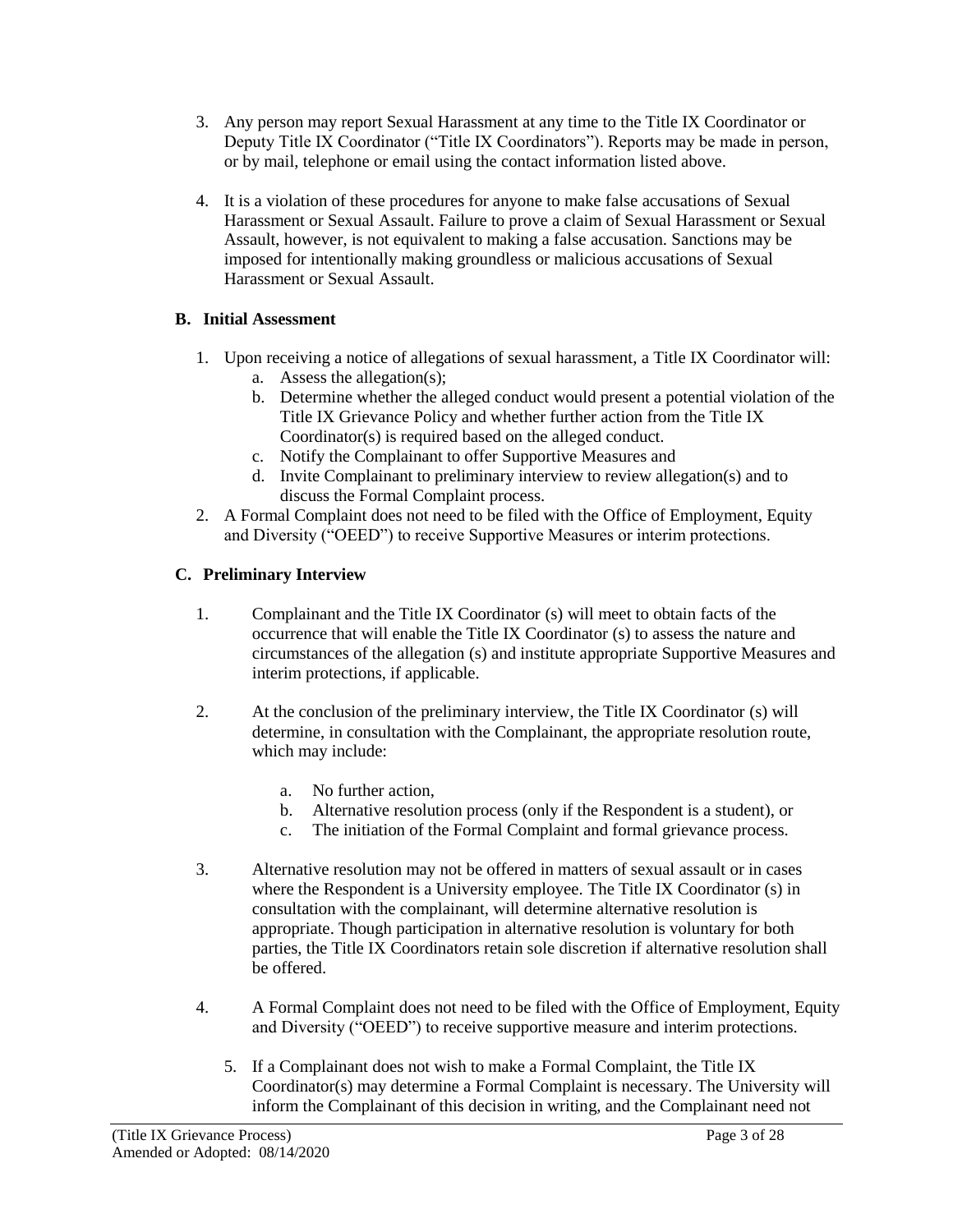- 3. Any person may report Sexual Harassment at any time to the Title IX Coordinator or Deputy Title IX Coordinator ("Title IX Coordinators"). Reports may be made in person, or by mail, telephone or email using the contact information listed above.
- 4. It is a violation of these procedures for anyone to make false accusations of Sexual Harassment or Sexual Assault. Failure to prove a claim of Sexual Harassment or Sexual Assault, however, is not equivalent to making a false accusation. Sanctions may be imposed for intentionally making groundless or malicious accusations of Sexual Harassment or Sexual Assault.

# **B. Initial Assessment**

- 1. Upon receiving a notice of allegations of sexual harassment, a Title IX Coordinator will: a. Assess the allegation(s);
	- b. Determine whether the alleged conduct would present a potential violation of the Title IX Grievance Policy and whether further action from the Title IX Coordinator(s) is required based on the alleged conduct.
	- c. Notify the Complainant to offer Supportive Measures and
	- d. Invite Complainant to preliminary interview to review allegation(s) and to discuss the Formal Complaint process.
- 2. A Formal Complaint does not need to be filed with the Office of Employment, Equity and Diversity ("OEED") to receive Supportive Measures or interim protections.

# **C. Preliminary Interview**

- 1. Complainant and the Title IX Coordinator (s) will meet to obtain facts of the occurrence that will enable the Title IX Coordinator (s) to assess the nature and circumstances of the allegation (s) and institute appropriate Supportive Measures and interim protections, if applicable.
- 2. At the conclusion of the preliminary interview, the Title IX Coordinator (s) will determine, in consultation with the Complainant, the appropriate resolution route, which may include:
	- a. No further action,
	- b. Alternative resolution process (only if the Respondent is a student), or
	- c. The initiation of the Formal Complaint and formal grievance process.
- 3. Alternative resolution may not be offered in matters of sexual assault or in cases where the Respondent is a University employee. The Title IX Coordinator (s) in consultation with the complainant, will determine alternative resolution is appropriate. Though participation in alternative resolution is voluntary for both parties, the Title IX Coordinators retain sole discretion if alternative resolution shall be offered.
- 4. A Formal Complaint does not need to be filed with the Office of Employment, Equity and Diversity ("OEED") to receive supportive measure and interim protections.
	- 5. If a Complainant does not wish to make a Formal Complaint, the Title IX Coordinator(s) may determine a Formal Complaint is necessary. The University will inform the Complainant of this decision in writing, and the Complainant need not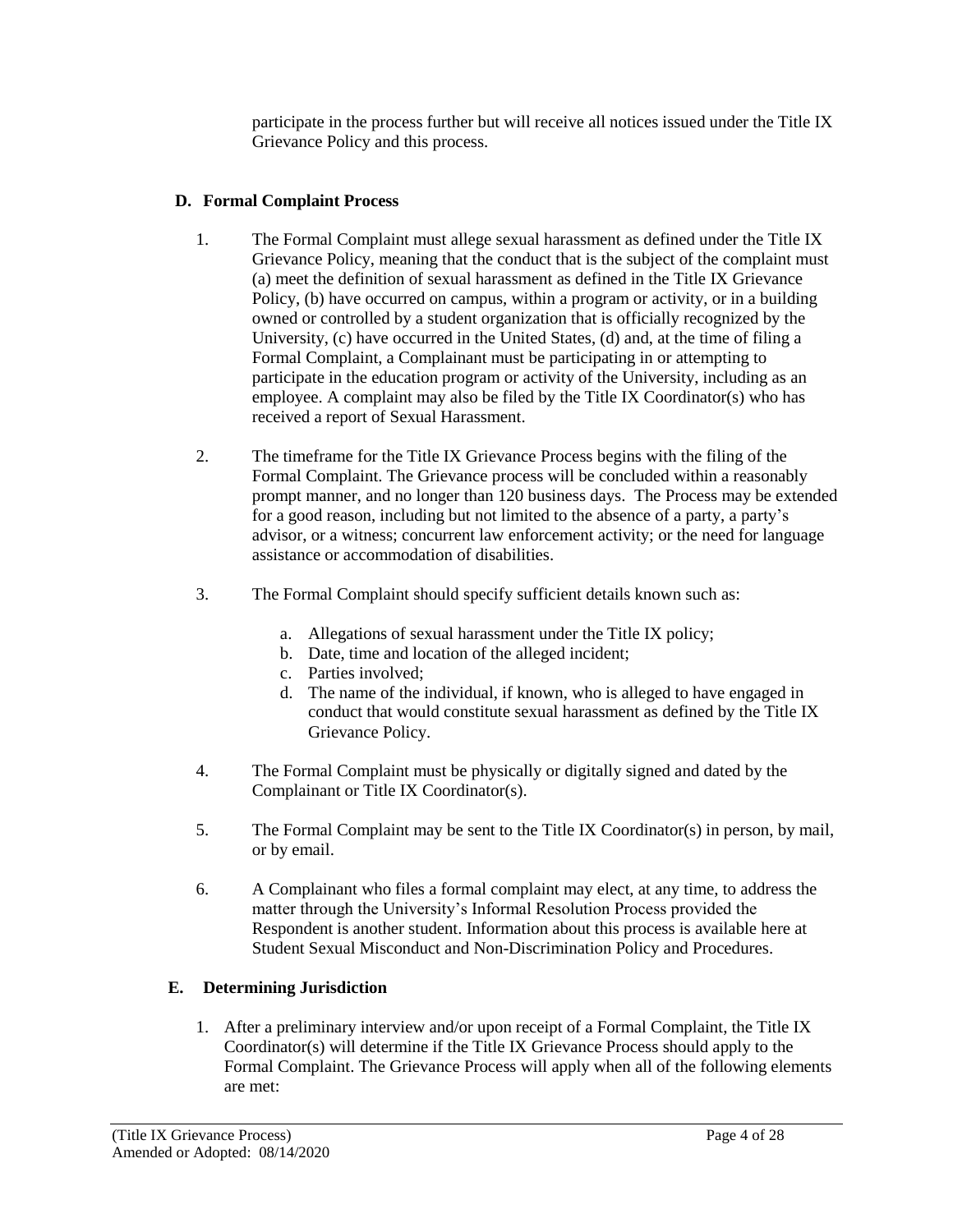participate in the process further but will receive all notices issued under the Title IX Grievance Policy and this process.

# **D. Formal Complaint Process**

- 1. The Formal Complaint must allege sexual harassment as defined under the Title IX Grievance Policy, meaning that the conduct that is the subject of the complaint must (a) meet the definition of sexual harassment as defined in the Title IX Grievance Policy, (b) have occurred on campus, within a program or activity, or in a building owned or controlled by a student organization that is officially recognized by the University, (c) have occurred in the United States, (d) and, at the time of filing a Formal Complaint, a Complainant must be participating in or attempting to participate in the education program or activity of the University, including as an employee. A complaint may also be filed by the Title IX Coordinator(s) who has received a report of Sexual Harassment.
- 2. The timeframe for the Title IX Grievance Process begins with the filing of the Formal Complaint. The Grievance process will be concluded within a reasonably prompt manner, and no longer than 120 business days. The Process may be extended for a good reason, including but not limited to the absence of a party, a party's advisor, or a witness; concurrent law enforcement activity; or the need for language assistance or accommodation of disabilities.
- 3. The Formal Complaint should specify sufficient details known such as:
	- a. Allegations of sexual harassment under the Title IX policy;
	- b. Date, time and location of the alleged incident;
	- c. Parties involved;
	- d. The name of the individual, if known, who is alleged to have engaged in conduct that would constitute sexual harassment as defined by the Title IX Grievance Policy.
- 4. The Formal Complaint must be physically or digitally signed and dated by the Complainant or Title IX Coordinator(s).
- 5. The Formal Complaint may be sent to the Title IX Coordinator(s) in person, by mail, or by email.
- 6. A Complainant who files a formal complaint may elect, at any time, to address the matter through the University's Informal Resolution Process provided the Respondent is another student. Information about this process is available here at Student Sexual Misconduct and Non-Discrimination Policy and Procedures.

# **E. Determining Jurisdiction**

1. After a preliminary interview and/or upon receipt of a Formal Complaint, the Title IX Coordinator(s) will determine if the Title IX Grievance Process should apply to the Formal Complaint. The Grievance Process will apply when all of the following elements are met: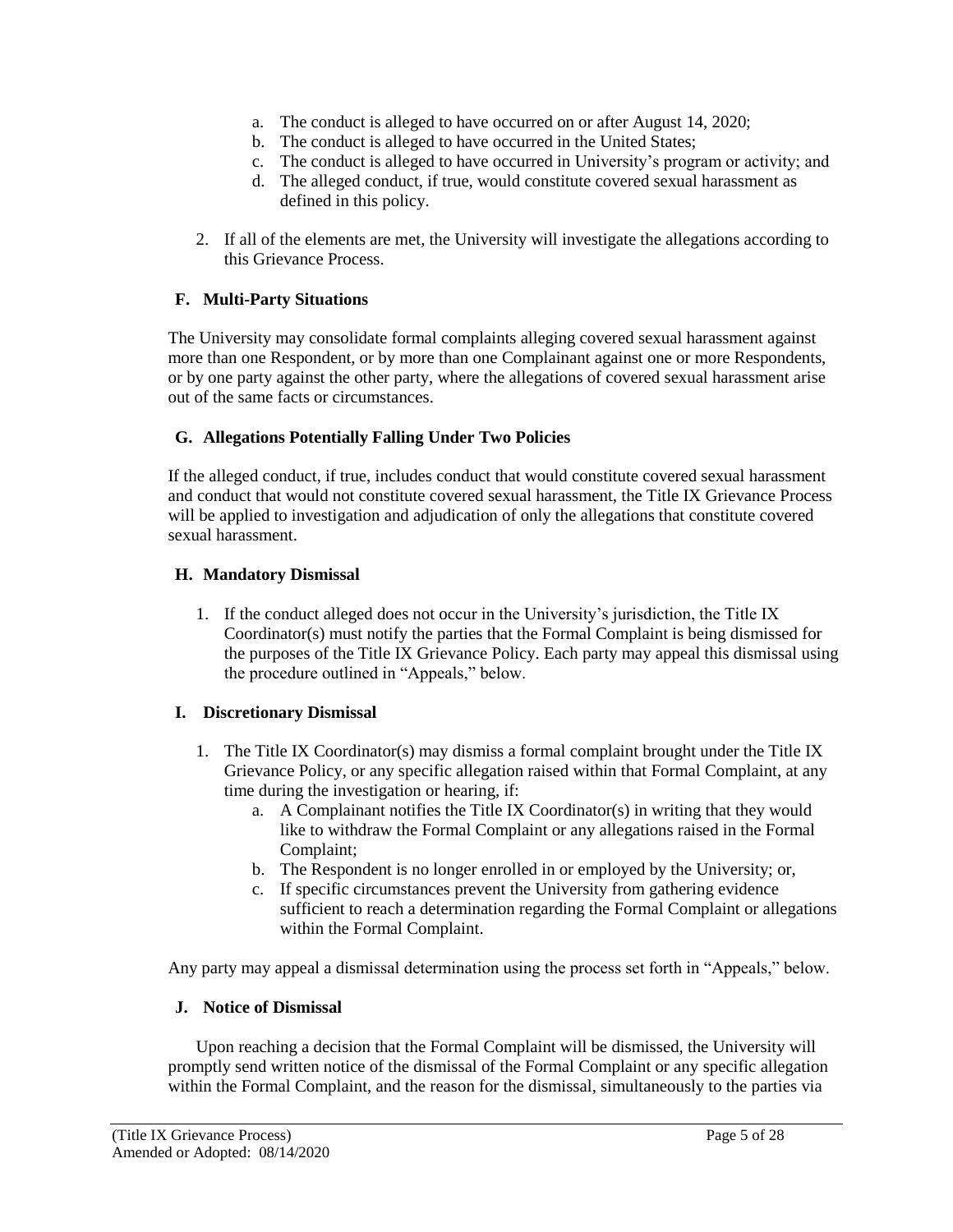- a. The conduct is alleged to have occurred on or after August 14, 2020;
- b. The conduct is alleged to have occurred in the United States;
- c. The conduct is alleged to have occurred in University's program or activity; and
- d. The alleged conduct, if true, would constitute covered sexual harassment as defined in this policy.
- 2. If all of the elements are met, the University will investigate the allegations according to this Grievance Process.

# **F. Multi-Party Situations**

The University may consolidate formal complaints alleging covered sexual harassment against more than one Respondent, or by more than one Complainant against one or more Respondents, or by one party against the other party, where the allegations of covered sexual harassment arise out of the same facts or circumstances.

## **G. Allegations Potentially Falling Under Two Policies**

If the alleged conduct, if true, includes conduct that would constitute covered sexual harassment and conduct that would not constitute covered sexual harassment, the Title IX Grievance Process will be applied to investigation and adjudication of only the allegations that constitute covered sexual harassment.

### **H. Mandatory Dismissal**

1. If the conduct alleged does not occur in the University's jurisdiction, the Title IX Coordinator(s) must notify the parties that the Formal Complaint is being dismissed for the purposes of the Title IX Grievance Policy. Each party may appeal this dismissal using the procedure outlined in "Appeals," below.

### **I. Discretionary Dismissal**

- 1. The Title IX Coordinator(s) may dismiss a formal complaint brought under the Title IX Grievance Policy, or any specific allegation raised within that Formal Complaint, at any time during the investigation or hearing, if:
	- a. A Complainant notifies the Title IX Coordinator(s) in writing that they would like to withdraw the Formal Complaint or any allegations raised in the Formal Complaint;
	- b. The Respondent is no longer enrolled in or employed by the University; or,
	- c. If specific circumstances prevent the University from gathering evidence sufficient to reach a determination regarding the Formal Complaint or allegations within the Formal Complaint.

Any party may appeal a dismissal determination using the process set forth in "Appeals," below.

### **J. Notice of Dismissal**

Upon reaching a decision that the Formal Complaint will be dismissed, the University will promptly send written notice of the dismissal of the Formal Complaint or any specific allegation within the Formal Complaint, and the reason for the dismissal, simultaneously to the parties via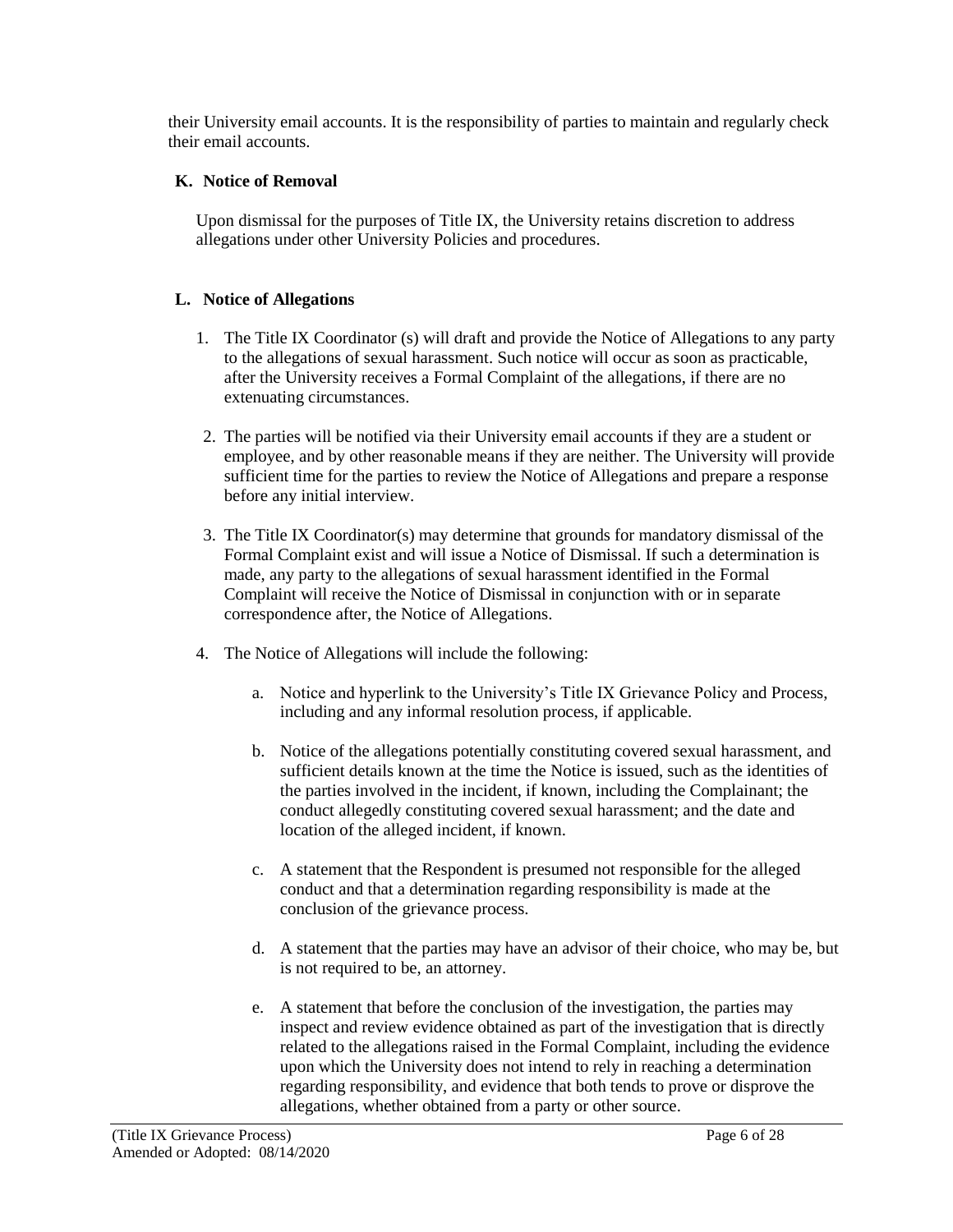their University email accounts. It is the responsibility of parties to maintain and regularly check their email accounts.

## **K. Notice of Removal**

Upon dismissal for the purposes of Title IX, the University retains discretion to address allegations under other University Policies and procedures.

## **L. Notice of Allegations**

- 1. The Title IX Coordinator (s) will draft and provide the Notice of Allegations to any party to the allegations of sexual harassment. Such notice will occur as soon as practicable, after the University receives a Formal Complaint of the allegations, if there are no extenuating circumstances.
- 2. The parties will be notified via their University email accounts if they are a student or employee, and by other reasonable means if they are neither. The University will provide sufficient time for the parties to review the Notice of Allegations and prepare a response before any initial interview.
- 3. The Title IX Coordinator(s) may determine that grounds for mandatory dismissal of the Formal Complaint exist and will issue a Notice of Dismissal. If such a determination is made, any party to the allegations of sexual harassment identified in the Formal Complaint will receive the Notice of Dismissal in conjunction with or in separate correspondence after, the Notice of Allegations.
- 4. The Notice of Allegations will include the following:
	- a. Notice and hyperlink to the University's Title IX Grievance Policy and Process, including and any informal resolution process, if applicable.
	- b. Notice of the allegations potentially constituting covered sexual harassment, and sufficient details known at the time the Notice is issued, such as the identities of the parties involved in the incident, if known, including the Complainant; the conduct allegedly constituting covered sexual harassment; and the date and location of the alleged incident, if known.
	- c. A statement that the Respondent is presumed not responsible for the alleged conduct and that a determination regarding responsibility is made at the conclusion of the grievance process.
	- d. A statement that the parties may have an advisor of their choice, who may be, but is not required to be, an attorney.
	- e. A statement that before the conclusion of the investigation, the parties may inspect and review evidence obtained as part of the investigation that is directly related to the allegations raised in the Formal Complaint, including the evidence upon which the University does not intend to rely in reaching a determination regarding responsibility, and evidence that both tends to prove or disprove the allegations, whether obtained from a party or other source.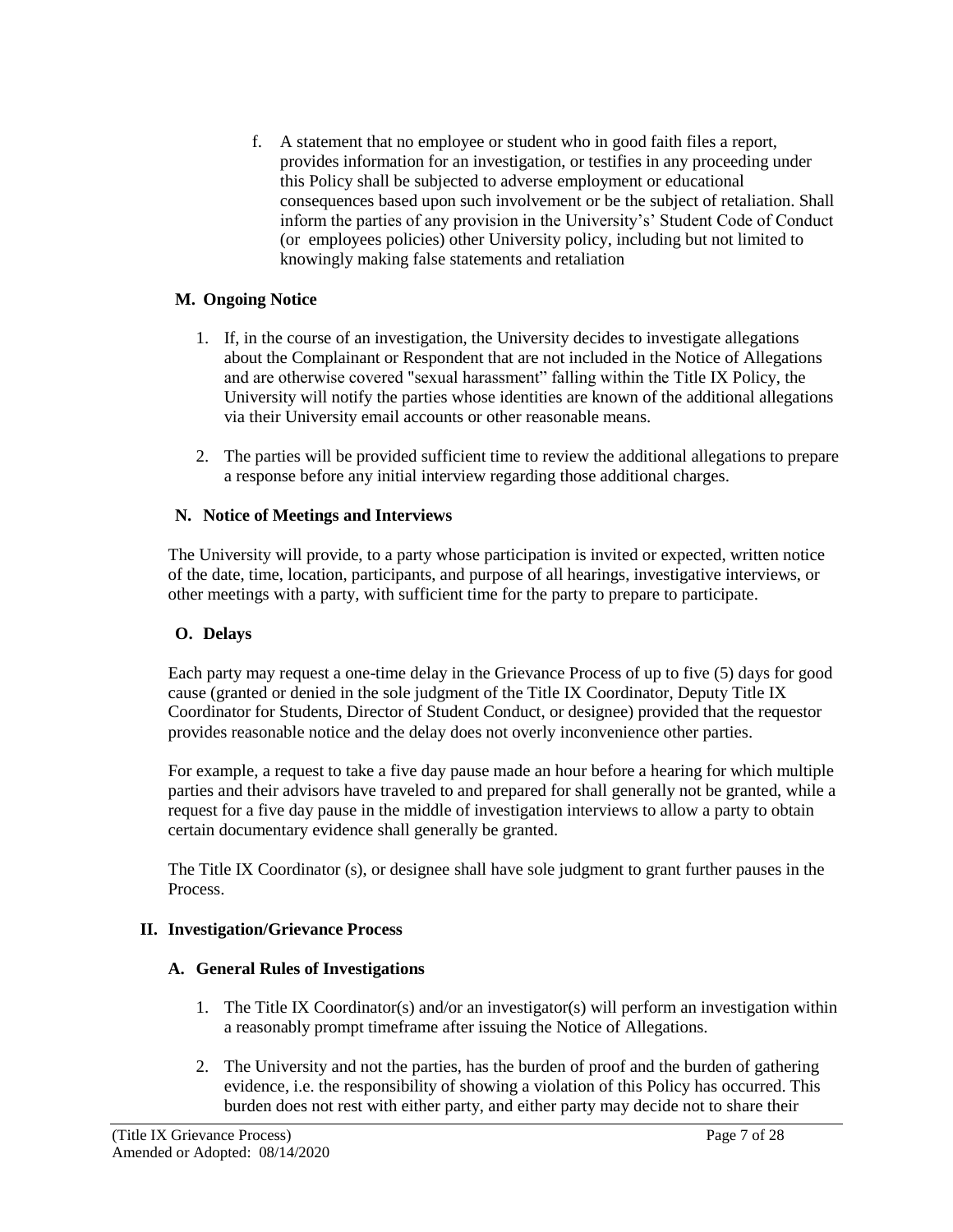f. A statement that no employee or student who in good faith files a report, provides information for an investigation, or testifies in any proceeding under this Policy shall be subjected to adverse employment or educational consequences based upon such involvement or be the subject of retaliation. Shall inform the parties of any provision in the University's' Student Code of Conduct (or employees policies) other University policy, including but not limited to knowingly making false statements and retaliation

### **M. Ongoing Notice**

- 1. If, in the course of an investigation, the University decides to investigate allegations about the Complainant or Respondent that are not included in the Notice of Allegations and are otherwise covered "sexual harassment" falling within the Title IX Policy, the University will notify the parties whose identities are known of the additional allegations via their University email accounts or other reasonable means.
- 2. The parties will be provided sufficient time to review the additional allegations to prepare a response before any initial interview regarding those additional charges.

### **N. Notice of Meetings and Interviews**

The University will provide, to a party whose participation is invited or expected, written notice of the date, time, location, participants, and purpose of all hearings, investigative interviews, or other meetings with a party, with sufficient time for the party to prepare to participate.

# **O. Delays**

Each party may request a one-time delay in the Grievance Process of up to five (5) days for good cause (granted or denied in the sole judgment of the Title IX Coordinator, Deputy Title IX Coordinator for Students, Director of Student Conduct, or designee) provided that the requestor provides reasonable notice and the delay does not overly inconvenience other parties.

For example, a request to take a five day pause made an hour before a hearing for which multiple parties and their advisors have traveled to and prepared for shall generally not be granted, while a request for a five day pause in the middle of investigation interviews to allow a party to obtain certain documentary evidence shall generally be granted.

The Title IX Coordinator (s), or designee shall have sole judgment to grant further pauses in the Process.

### **II. Investigation/Grievance Process**

### **A. General Rules of Investigations**

- 1. The Title IX Coordinator(s) and/or an investigator(s) will perform an investigation within a reasonably prompt timeframe after issuing the Notice of Allegations.
- 2. The University and not the parties, has the burden of proof and the burden of gathering evidence, i.e. the responsibility of showing a violation of this Policy has occurred. This burden does not rest with either party, and either party may decide not to share their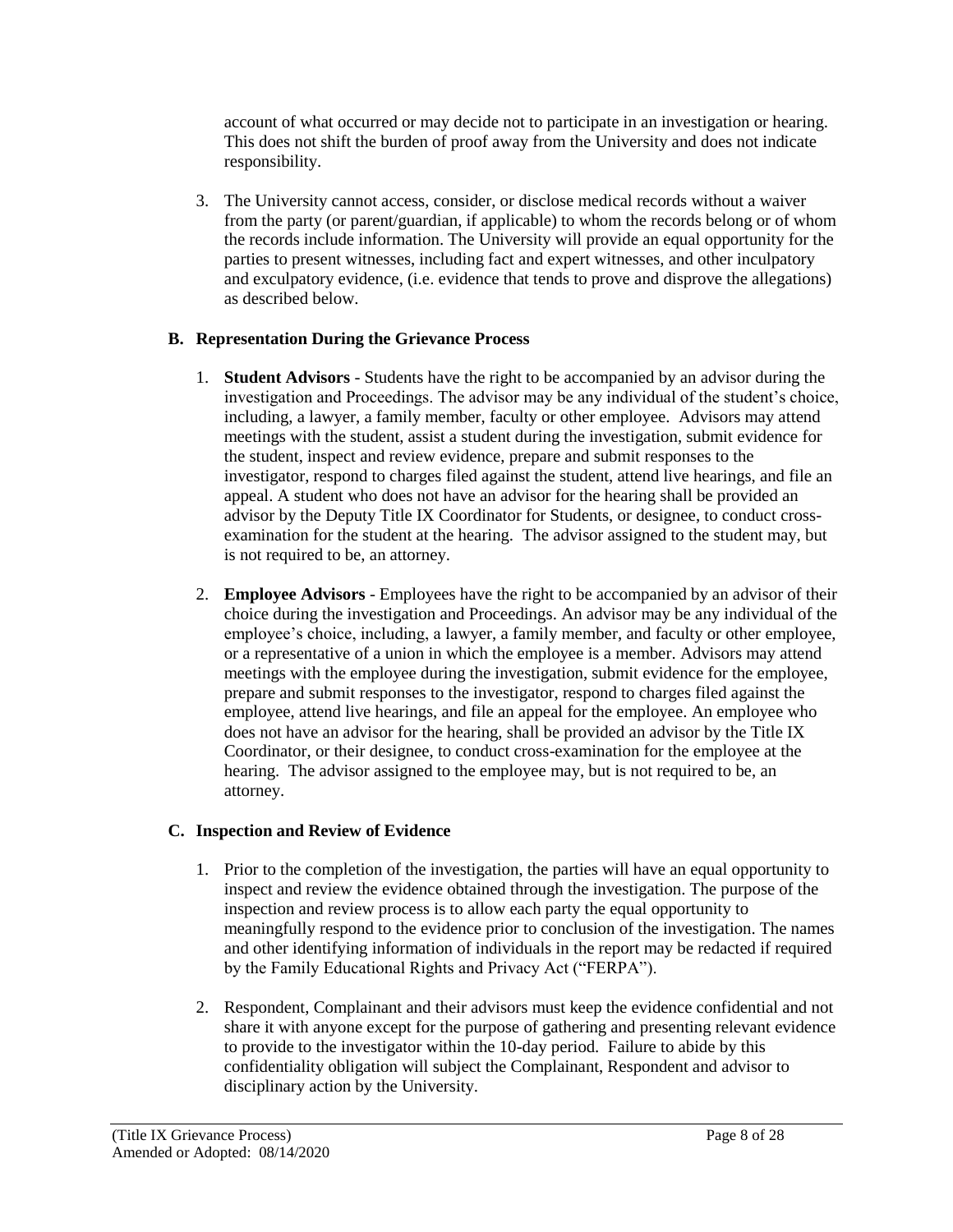account of what occurred or may decide not to participate in an investigation or hearing. This does not shift the burden of proof away from the University and does not indicate responsibility.

3. The University cannot access, consider, or disclose medical records without a waiver from the party (or parent/guardian, if applicable) to whom the records belong or of whom the records include information. The University will provide an equal opportunity for the parties to present witnesses, including fact and expert witnesses, and other inculpatory and exculpatory evidence, (i.e. evidence that tends to prove and disprove the allegations) as described below.

# **B. Representation During the Grievance Process**

- 1. **Student Advisors** Students have the right to be accompanied by an advisor during the investigation and Proceedings. The advisor may be any individual of the student's choice, including, a lawyer, a family member, faculty or other employee. Advisors may attend meetings with the student, assist a student during the investigation, submit evidence for the student, inspect and review evidence, prepare and submit responses to the investigator, respond to charges filed against the student, attend live hearings, and file an appeal. A student who does not have an advisor for the hearing shall be provided an advisor by the Deputy Title IX Coordinator for Students, or designee, to conduct crossexamination for the student at the hearing. The advisor assigned to the student may, but is not required to be, an attorney.
- 2. **Employee Advisors** Employees have the right to be accompanied by an advisor of their choice during the investigation and Proceedings. An advisor may be any individual of the employee's choice, including, a lawyer, a family member, and faculty or other employee, or a representative of a union in which the employee is a member. Advisors may attend meetings with the employee during the investigation, submit evidence for the employee, prepare and submit responses to the investigator, respond to charges filed against the employee, attend live hearings, and file an appeal for the employee. An employee who does not have an advisor for the hearing, shall be provided an advisor by the Title IX Coordinator, or their designee, to conduct cross-examination for the employee at the hearing. The advisor assigned to the employee may, but is not required to be, an attorney.

# **C. Inspection and Review of Evidence**

- 1. Prior to the completion of the investigation, the parties will have an equal opportunity to inspect and review the evidence obtained through the investigation. The purpose of the inspection and review process is to allow each party the equal opportunity to meaningfully respond to the evidence prior to conclusion of the investigation. The names and other identifying information of individuals in the report may be redacted if required by the Family Educational Rights and Privacy Act ("FERPA").
- 2. Respondent, Complainant and their advisors must keep the evidence confidential and not share it with anyone except for the purpose of gathering and presenting relevant evidence to provide to the investigator within the 10-day period. Failure to abide by this confidentiality obligation will subject the Complainant, Respondent and advisor to disciplinary action by the University.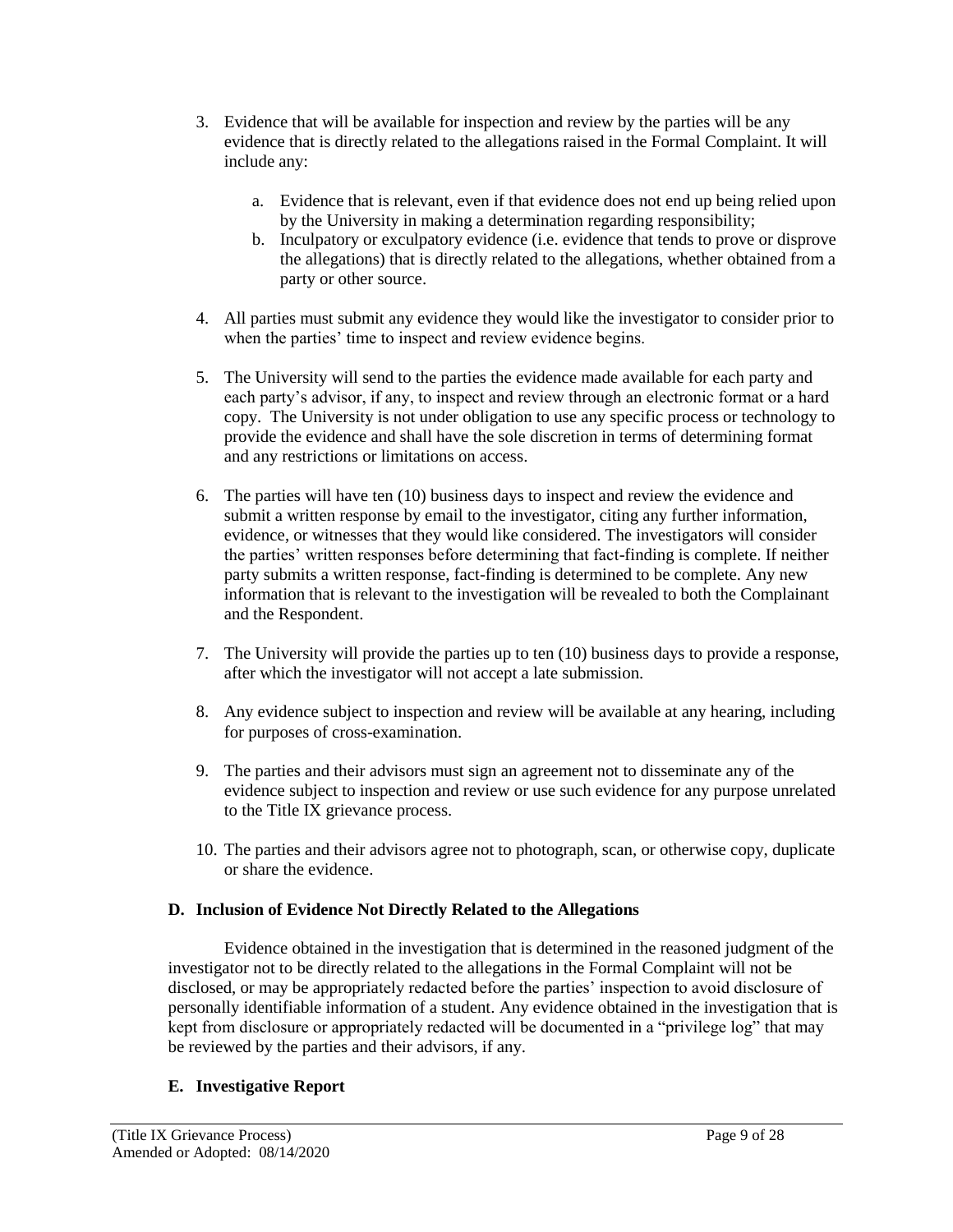- 3. Evidence that will be available for inspection and review by the parties will be any evidence that is directly related to the allegations raised in the Formal Complaint. It will include any:
	- a. Evidence that is relevant, even if that evidence does not end up being relied upon by the University in making a determination regarding responsibility;
	- b. Inculpatory or exculpatory evidence (i.e. evidence that tends to prove or disprove the allegations) that is directly related to the allegations, whether obtained from a party or other source.
- 4. All parties must submit any evidence they would like the investigator to consider prior to when the parties' time to inspect and review evidence begins.
- 5. The University will send to the parties the evidence made available for each party and each party's advisor, if any, to inspect and review through an electronic format or a hard copy. The University is not under obligation to use any specific process or technology to provide the evidence and shall have the sole discretion in terms of determining format and any restrictions or limitations on access.
- 6. The parties will have ten (10) business days to inspect and review the evidence and submit a written response by email to the investigator, citing any further information, evidence, or witnesses that they would like considered. The investigators will consider the parties' written responses before determining that fact-finding is complete. If neither party submits a written response, fact-finding is determined to be complete. Any new information that is relevant to the investigation will be revealed to both the Complainant and the Respondent.
- 7. The University will provide the parties up to ten (10) business days to provide a response, after which the investigator will not accept a late submission.
- 8. Any evidence subject to inspection and review will be available at any hearing, including for purposes of cross-examination.
- 9. The parties and their advisors must sign an agreement not to disseminate any of the evidence subject to inspection and review or use such evidence for any purpose unrelated to the Title IX grievance process.
- 10. The parties and their advisors agree not to photograph, scan, or otherwise copy, duplicate or share the evidence.

### **D. Inclusion of Evidence Not Directly Related to the Allegations**

Evidence obtained in the investigation that is determined in the reasoned judgment of the investigator not to be directly related to the allegations in the Formal Complaint will not be disclosed, or may be appropriately redacted before the parties' inspection to avoid disclosure of personally identifiable information of a student. Any evidence obtained in the investigation that is kept from disclosure or appropriately redacted will be documented in a "privilege log" that may be reviewed by the parties and their advisors, if any.

### **E. Investigative Report**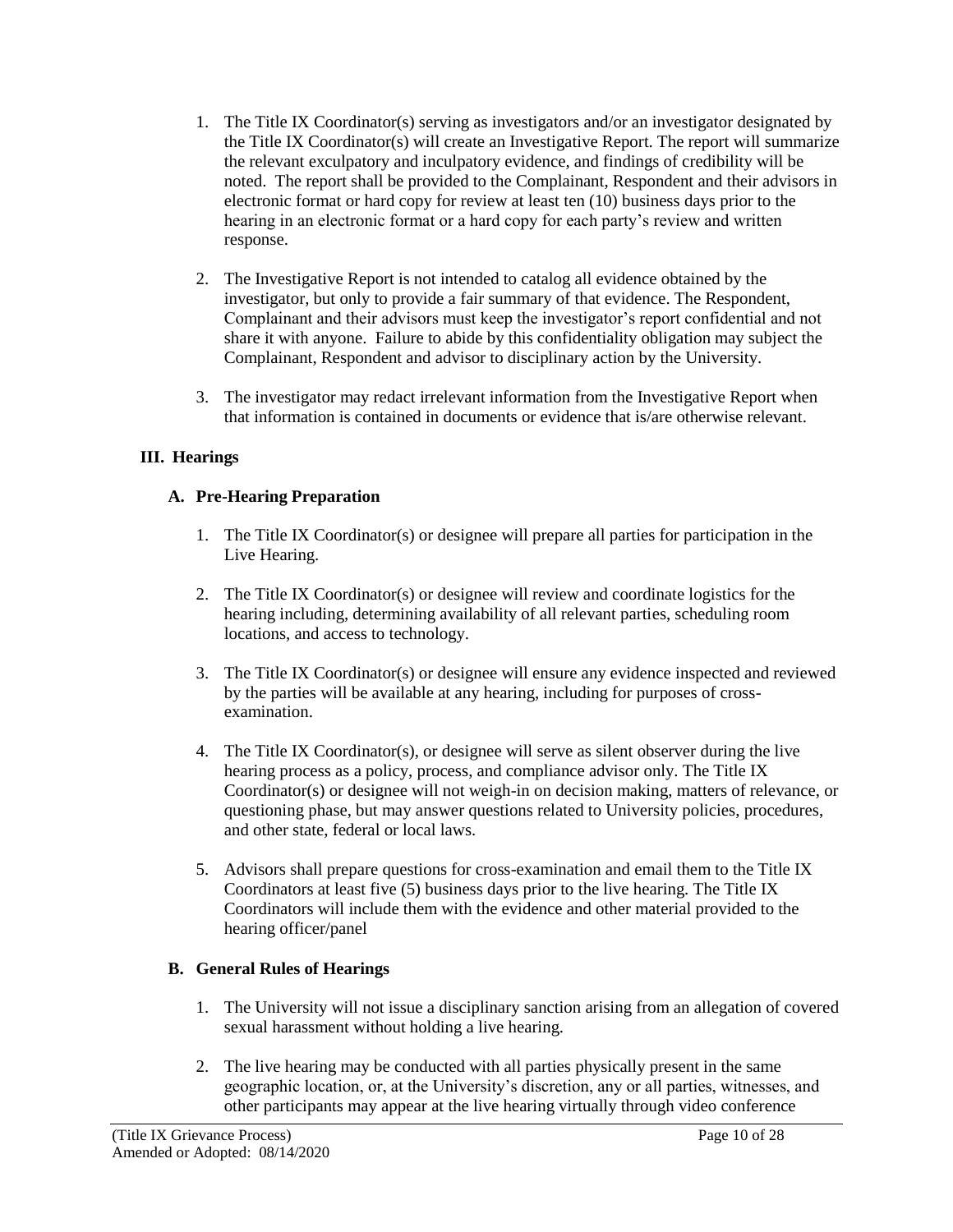- 1. The Title IX Coordinator(s) serving as investigators and/or an investigator designated by the Title IX Coordinator(s) will create an Investigative Report. The report will summarize the relevant exculpatory and inculpatory evidence, and findings of credibility will be noted. The report shall be provided to the Complainant, Respondent and their advisors in electronic format or hard copy for review at least ten (10) business days prior to the hearing in an electronic format or a hard copy for each party's review and written response.
- 2. The Investigative Report is not intended to catalog all evidence obtained by the investigator, but only to provide a fair summary of that evidence. The Respondent, Complainant and their advisors must keep the investigator's report confidential and not share it with anyone. Failure to abide by this confidentiality obligation may subject the Complainant, Respondent and advisor to disciplinary action by the University.
- 3. The investigator may redact irrelevant information from the Investigative Report when that information is contained in documents or evidence that is/are otherwise relevant.

## **III. Hearings**

## **A. Pre-Hearing Preparation**

- 1. The Title IX Coordinator(s) or designee will prepare all parties for participation in the Live Hearing.
- 2. The Title IX Coordinator(s) or designee will review and coordinate logistics for the hearing including, determining availability of all relevant parties, scheduling room locations, and access to technology.
- 3. The Title IX Coordinator(s) or designee will ensure any evidence inspected and reviewed by the parties will be available at any hearing, including for purposes of crossexamination.
- 4. The Title IX Coordinator(s), or designee will serve as silent observer during the live hearing process as a policy, process, and compliance advisor only. The Title IX Coordinator(s) or designee will not weigh-in on decision making, matters of relevance, or questioning phase, but may answer questions related to University policies, procedures, and other state, federal or local laws.
- 5. Advisors shall prepare questions for cross-examination and email them to the Title IX Coordinators at least five (5) business days prior to the live hearing. The Title IX Coordinators will include them with the evidence and other material provided to the hearing officer/panel

### **B. General Rules of Hearings**

- 1. The University will not issue a disciplinary sanction arising from an allegation of covered sexual harassment without holding a live hearing.
- 2. The live hearing may be conducted with all parties physically present in the same geographic location, or, at the University's discretion, any or all parties, witnesses, and other participants may appear at the live hearing virtually through video conference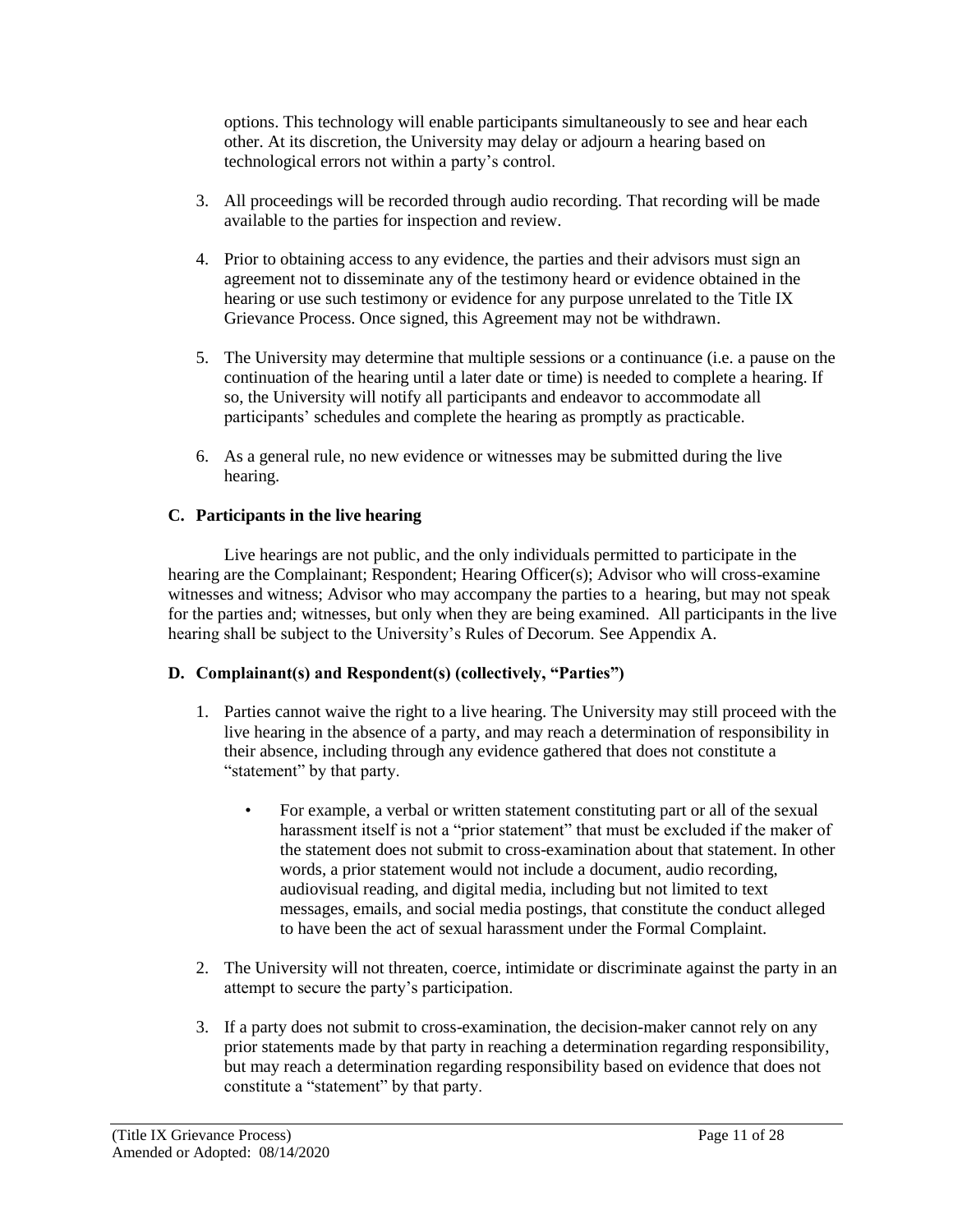options. This technology will enable participants simultaneously to see and hear each other. At its discretion, the University may delay or adjourn a hearing based on technological errors not within a party's control.

- 3. All proceedings will be recorded through audio recording. That recording will be made available to the parties for inspection and review.
- 4. Prior to obtaining access to any evidence, the parties and their advisors must sign an agreement not to disseminate any of the testimony heard or evidence obtained in the hearing or use such testimony or evidence for any purpose unrelated to the Title IX Grievance Process. Once signed, this Agreement may not be withdrawn.
- 5. The University may determine that multiple sessions or a continuance (i.e. a pause on the continuation of the hearing until a later date or time) is needed to complete a hearing. If so, the University will notify all participants and endeavor to accommodate all participants' schedules and complete the hearing as promptly as practicable.
- 6. As a general rule, no new evidence or witnesses may be submitted during the live hearing.

## **C. Participants in the live hearing**

Live hearings are not public, and the only individuals permitted to participate in the hearing are the Complainant; Respondent; Hearing Officer(s); Advisor who will cross-examine witnesses and witness; Advisor who may accompany the parties to a hearing, but may not speak for the parties and; witnesses, but only when they are being examined. All participants in the live hearing shall be subject to the University's Rules of Decorum. See Appendix A.

### **D. Complainant(s) and Respondent(s) (collectively, "Parties")**

- 1. Parties cannot waive the right to a live hearing. The University may still proceed with the live hearing in the absence of a party, and may reach a determination of responsibility in their absence, including through any evidence gathered that does not constitute a "statement" by that party.
	- For example, a verbal or written statement constituting part or all of the sexual harassment itself is not a "prior statement" that must be excluded if the maker of the statement does not submit to cross-examination about that statement. In other words, a prior statement would not include a document, audio recording, audiovisual reading, and digital media, including but not limited to text messages, emails, and social media postings, that constitute the conduct alleged to have been the act of sexual harassment under the Formal Complaint.
- 2. The University will not threaten, coerce, intimidate or discriminate against the party in an attempt to secure the party's participation.
- 3. If a party does not submit to cross-examination, the decision-maker cannot rely on any prior statements made by that party in reaching a determination regarding responsibility, but may reach a determination regarding responsibility based on evidence that does not constitute a "statement" by that party.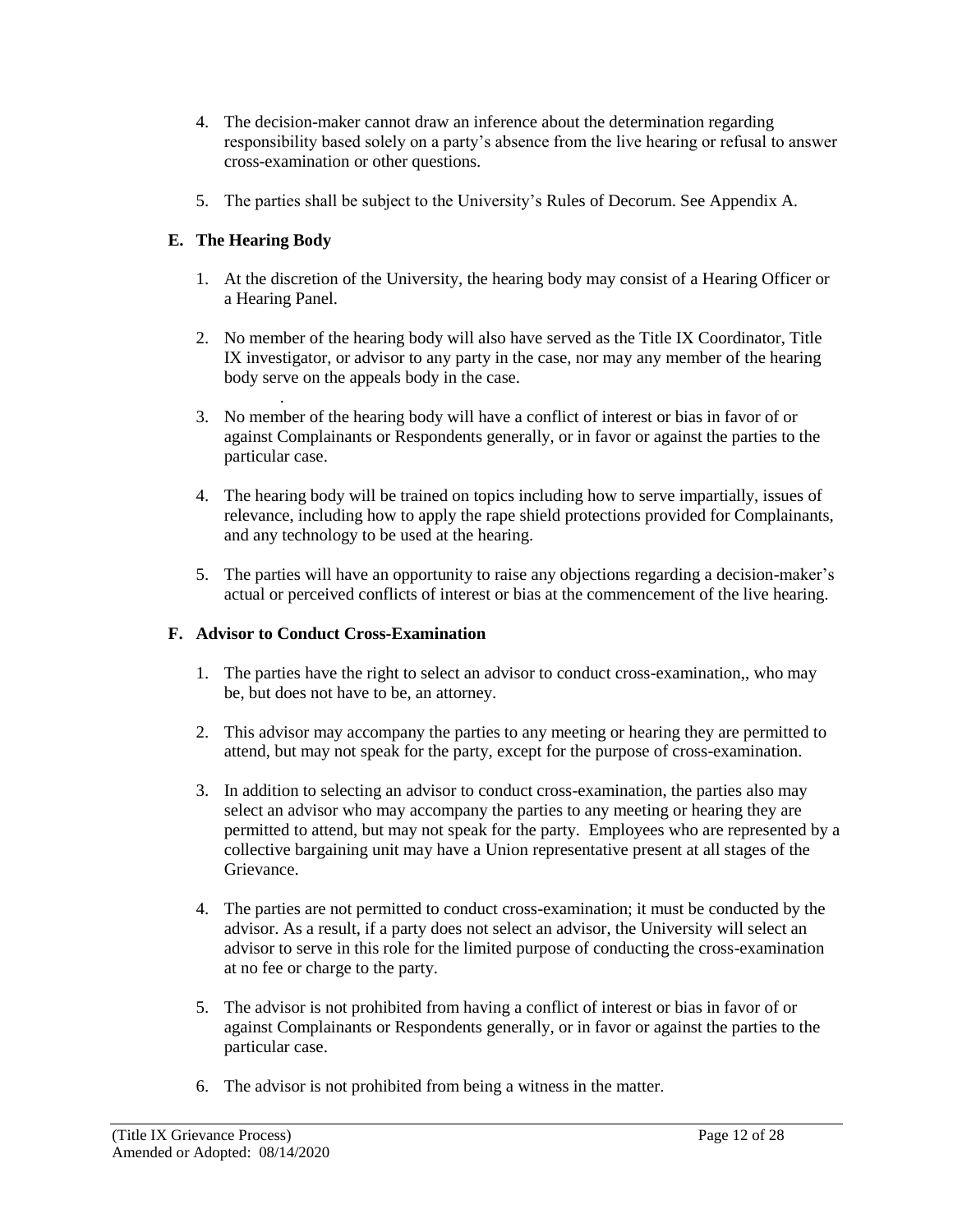- 4. The decision-maker cannot draw an inference about the determination regarding responsibility based solely on a party's absence from the live hearing or refusal to answer cross-examination or other questions.
- 5. The parties shall be subject to the University's Rules of Decorum. See Appendix A.

# **E. The Hearing Body**

- 1. At the discretion of the University, the hearing body may consist of a Hearing Officer or a Hearing Panel.
- 2. No member of the hearing body will also have served as the Title IX Coordinator, Title IX investigator, or advisor to any party in the case, nor may any member of the hearing body serve on the appeals body in the case.
- . 3. No member of the hearing body will have a conflict of interest or bias in favor of or against Complainants or Respondents generally, or in favor or against the parties to the particular case.
- 4. The hearing body will be trained on topics including how to serve impartially, issues of relevance, including how to apply the rape shield protections provided for Complainants, and any technology to be used at the hearing.
- 5. The parties will have an opportunity to raise any objections regarding a decision-maker's actual or perceived conflicts of interest or bias at the commencement of the live hearing.

# **F. Advisor to Conduct Cross-Examination**

- 1. The parties have the right to select an advisor to conduct cross-examination,, who may be, but does not have to be, an attorney.
- 2. This advisor may accompany the parties to any meeting or hearing they are permitted to attend, but may not speak for the party, except for the purpose of cross-examination.
- 3. In addition to selecting an advisor to conduct cross-examination, the parties also may select an advisor who may accompany the parties to any meeting or hearing they are permitted to attend, but may not speak for the party. Employees who are represented by a collective bargaining unit may have a Union representative present at all stages of the Grievance.
- 4. The parties are not permitted to conduct cross-examination; it must be conducted by the advisor. As a result, if a party does not select an advisor, the University will select an advisor to serve in this role for the limited purpose of conducting the cross-examination at no fee or charge to the party.
- 5. The advisor is not prohibited from having a conflict of interest or bias in favor of or against Complainants or Respondents generally, or in favor or against the parties to the particular case.
- 6. The advisor is not prohibited from being a witness in the matter.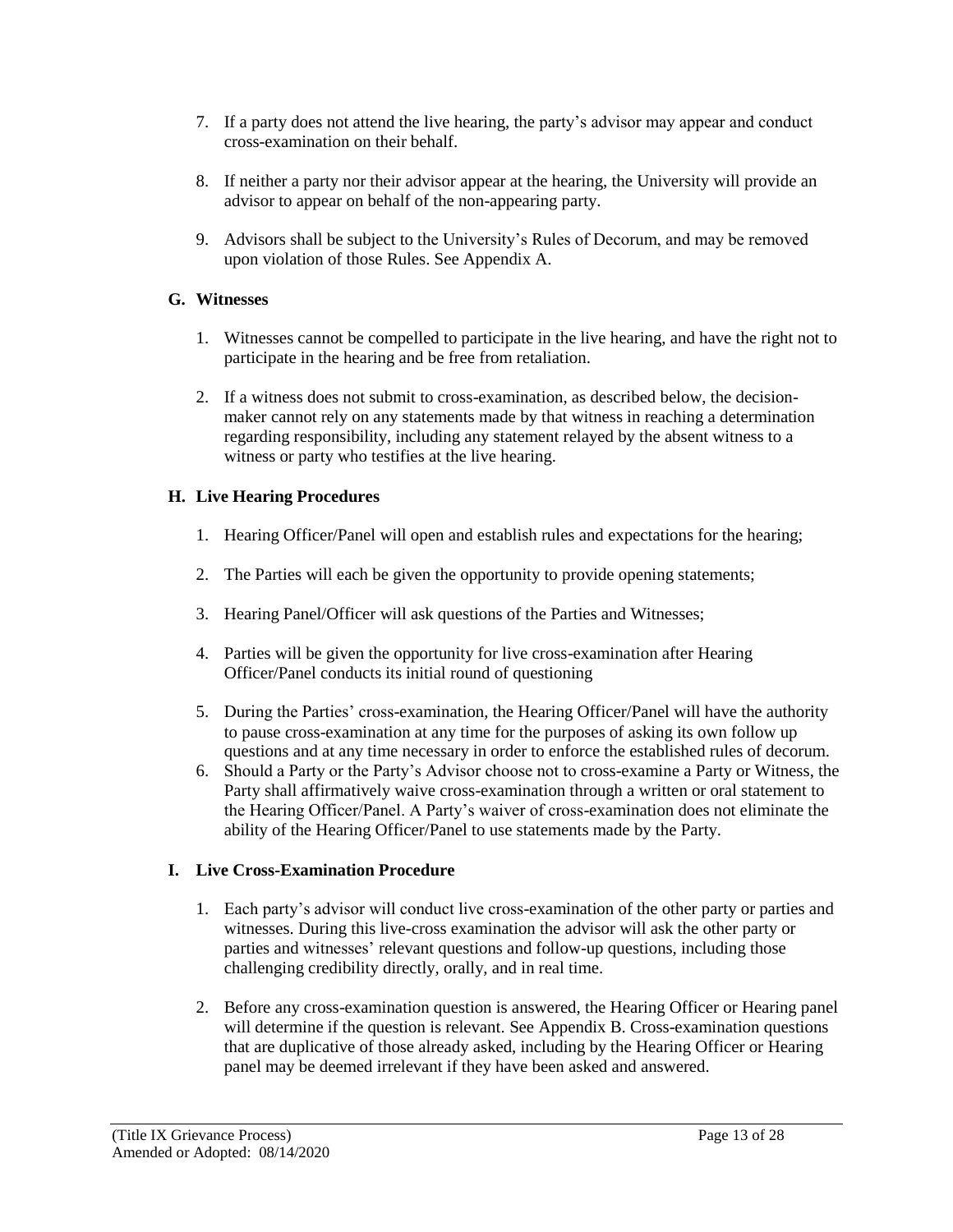- 7. If a party does not attend the live hearing, the party's advisor may appear and conduct cross-examination on their behalf.
- 8. If neither a party nor their advisor appear at the hearing, the University will provide an advisor to appear on behalf of the non-appearing party.
- 9. Advisors shall be subject to the University's Rules of Decorum, and may be removed upon violation of those Rules. See Appendix A.

## **G. Witnesses**

- 1. Witnesses cannot be compelled to participate in the live hearing, and have the right not to participate in the hearing and be free from retaliation.
- 2. If a witness does not submit to cross-examination, as described below, the decisionmaker cannot rely on any statements made by that witness in reaching a determination regarding responsibility, including any statement relayed by the absent witness to a witness or party who testifies at the live hearing.

# **H. Live Hearing Procedures**

- 1. Hearing Officer/Panel will open and establish rules and expectations for the hearing;
- 2. The Parties will each be given the opportunity to provide opening statements;
- 3. Hearing Panel/Officer will ask questions of the Parties and Witnesses;
- 4. Parties will be given the opportunity for live cross-examination after Hearing Officer/Panel conducts its initial round of questioning
- 5. During the Parties' cross-examination, the Hearing Officer/Panel will have the authority to pause cross-examination at any time for the purposes of asking its own follow up questions and at any time necessary in order to enforce the established rules of decorum.
- 6. Should a Party or the Party's Advisor choose not to cross-examine a Party or Witness, the Party shall affirmatively waive cross-examination through a written or oral statement to the Hearing Officer/Panel. A Party's waiver of cross-examination does not eliminate the ability of the Hearing Officer/Panel to use statements made by the Party.

# **I. Live Cross-Examination Procedure**

- 1. Each party's advisor will conduct live cross-examination of the other party or parties and witnesses. During this live-cross examination the advisor will ask the other party or parties and witnesses' relevant questions and follow-up questions, including those challenging credibility directly, orally, and in real time.
- 2. Before any cross-examination question is answered, the Hearing Officer or Hearing panel will determine if the question is relevant. See Appendix B. Cross-examination questions that are duplicative of those already asked, including by the Hearing Officer or Hearing panel may be deemed irrelevant if they have been asked and answered.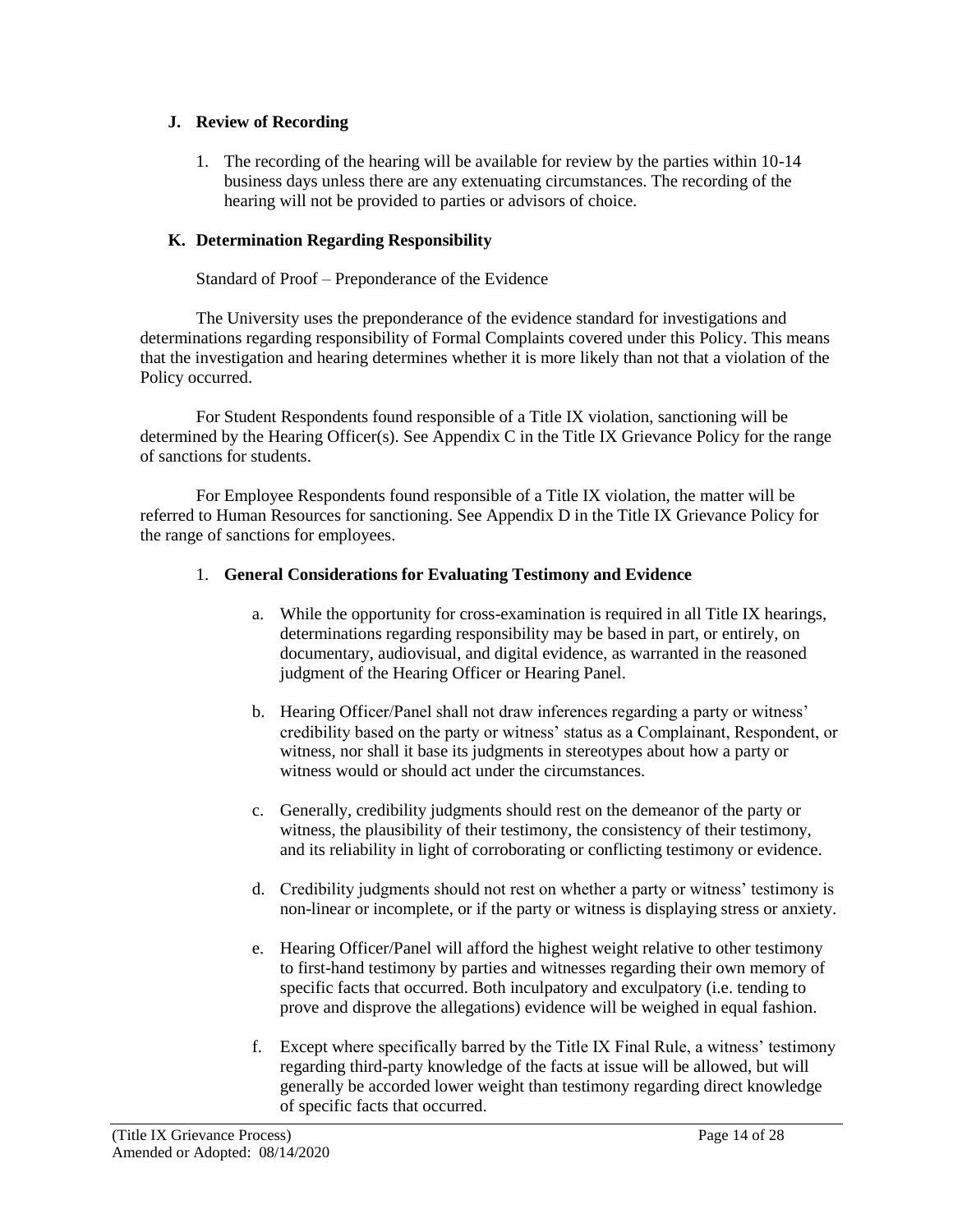### **J. Review of Recording**

1. The recording of the hearing will be available for review by the parties within 10-14 business days unless there are any extenuating circumstances. The recording of the hearing will not be provided to parties or advisors of choice.

# **K. Determination Regarding Responsibility**

### Standard of Proof – Preponderance of the Evidence

The University uses the preponderance of the evidence standard for investigations and determinations regarding responsibility of Formal Complaints covered under this Policy. This means that the investigation and hearing determines whether it is more likely than not that a violation of the Policy occurred.

For Student Respondents found responsible of a Title IX violation, sanctioning will be determined by the Hearing Officer(s). See Appendix C in the Title IX Grievance Policy for the range of sanctions for students.

For Employee Respondents found responsible of a Title IX violation, the matter will be referred to Human Resources for sanctioning. See Appendix D in the Title IX Grievance Policy for the range of sanctions for employees.

### 1. **General Considerations for Evaluating Testimony and Evidence**

- a. While the opportunity for cross-examination is required in all Title IX hearings, determinations regarding responsibility may be based in part, or entirely, on documentary, audiovisual, and digital evidence, as warranted in the reasoned judgment of the Hearing Officer or Hearing Panel.
- b. Hearing Officer/Panel shall not draw inferences regarding a party or witness' credibility based on the party or witness' status as a Complainant, Respondent, or witness, nor shall it base its judgments in stereotypes about how a party or witness would or should act under the circumstances.
- c. Generally, credibility judgments should rest on the demeanor of the party or witness, the plausibility of their testimony, the consistency of their testimony, and its reliability in light of corroborating or conflicting testimony or evidence.
- d. Credibility judgments should not rest on whether a party or witness' testimony is non-linear or incomplete, or if the party or witness is displaying stress or anxiety.
- e. Hearing Officer/Panel will afford the highest weight relative to other testimony to first-hand testimony by parties and witnesses regarding their own memory of specific facts that occurred. Both inculpatory and exculpatory (i.e. tending to prove and disprove the allegations) evidence will be weighed in equal fashion.
- f. Except where specifically barred by the Title IX Final Rule, a witness' testimony regarding third-party knowledge of the facts at issue will be allowed, but will generally be accorded lower weight than testimony regarding direct knowledge of specific facts that occurred.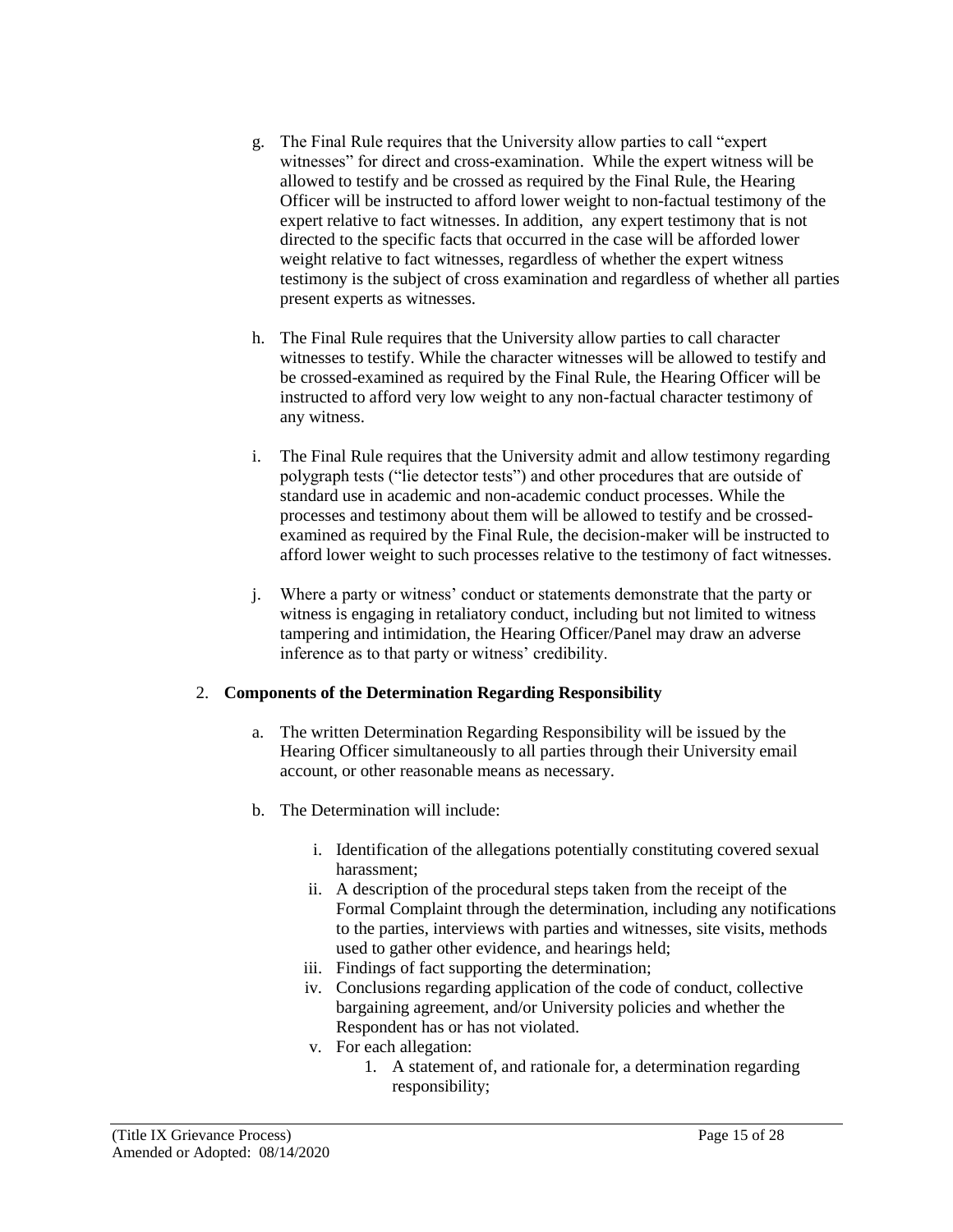- g. The Final Rule requires that the University allow parties to call "expert witnesses" for direct and cross-examination. While the expert witness will be allowed to testify and be crossed as required by the Final Rule, the Hearing Officer will be instructed to afford lower weight to non-factual testimony of the expert relative to fact witnesses. In addition, any expert testimony that is not directed to the specific facts that occurred in the case will be afforded lower weight relative to fact witnesses, regardless of whether the expert witness testimony is the subject of cross examination and regardless of whether all parties present experts as witnesses.
- h. The Final Rule requires that the University allow parties to call character witnesses to testify. While the character witnesses will be allowed to testify and be crossed-examined as required by the Final Rule, the Hearing Officer will be instructed to afford very low weight to any non-factual character testimony of any witness.
- i. The Final Rule requires that the University admit and allow testimony regarding polygraph tests ("lie detector tests") and other procedures that are outside of standard use in academic and non-academic conduct processes. While the processes and testimony about them will be allowed to testify and be crossedexamined as required by the Final Rule, the decision-maker will be instructed to afford lower weight to such processes relative to the testimony of fact witnesses.
- j. Where a party or witness' conduct or statements demonstrate that the party or witness is engaging in retaliatory conduct, including but not limited to witness tampering and intimidation, the Hearing Officer/Panel may draw an adverse inference as to that party or witness' credibility.

### 2. **Components of the Determination Regarding Responsibility**

- a. The written Determination Regarding Responsibility will be issued by the Hearing Officer simultaneously to all parties through their University email account, or other reasonable means as necessary.
- b. The Determination will include:
	- i. Identification of the allegations potentially constituting covered sexual harassment;
	- ii. A description of the procedural steps taken from the receipt of the Formal Complaint through the determination, including any notifications to the parties, interviews with parties and witnesses, site visits, methods used to gather other evidence, and hearings held;
	- iii. Findings of fact supporting the determination;
	- iv. Conclusions regarding application of the code of conduct, collective bargaining agreement, and/or University policies and whether the Respondent has or has not violated.
	- v. For each allegation:
		- 1. A statement of, and rationale for, a determination regarding responsibility;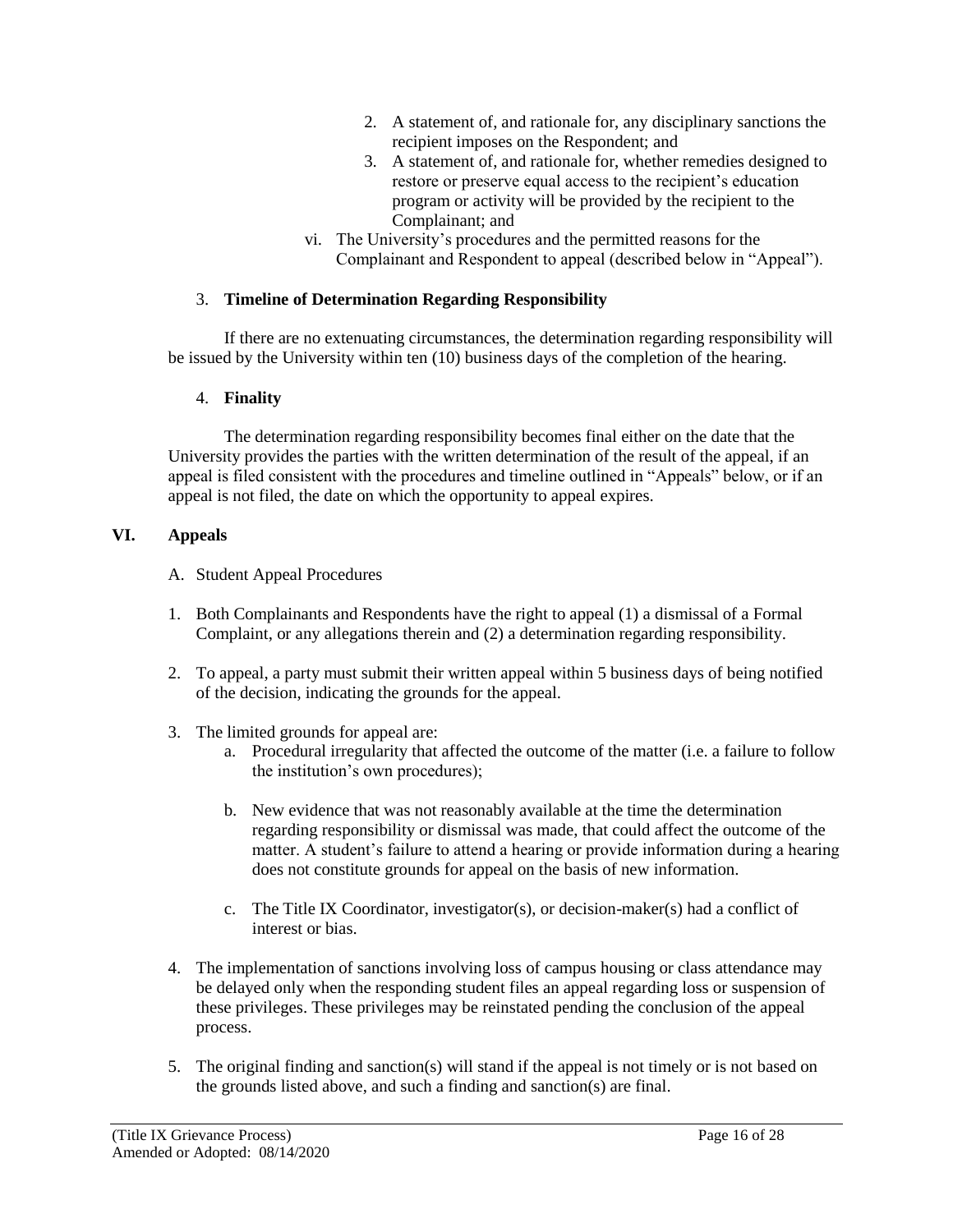- 2. A statement of, and rationale for, any disciplinary sanctions the recipient imposes on the Respondent; and
- 3. A statement of, and rationale for, whether remedies designed to restore or preserve equal access to the recipient's education program or activity will be provided by the recipient to the Complainant; and
- vi. The University's procedures and the permitted reasons for the Complainant and Respondent to appeal (described below in "Appeal").

### 3. **Timeline of Determination Regarding Responsibility**

If there are no extenuating circumstances, the determination regarding responsibility will be issued by the University within ten (10) business days of the completion of the hearing.

### 4. **Finality**

The determination regarding responsibility becomes final either on the date that the University provides the parties with the written determination of the result of the appeal, if an appeal is filed consistent with the procedures and timeline outlined in "Appeals" below, or if an appeal is not filed, the date on which the opportunity to appeal expires.

## **VI. Appeals**

- A. Student Appeal Procedures
- 1. Both Complainants and Respondents have the right to appeal (1) a dismissal of a Formal Complaint, or any allegations therein and (2) a determination regarding responsibility.
- 2. To appeal, a party must submit their written appeal within 5 business days of being notified of the decision, indicating the grounds for the appeal.
- 3. The limited grounds for appeal are:
	- a. Procedural irregularity that affected the outcome of the matter (i.e. a failure to follow the institution's own procedures);
	- b. New evidence that was not reasonably available at the time the determination regarding responsibility or dismissal was made, that could affect the outcome of the matter. A student's failure to attend a hearing or provide information during a hearing does not constitute grounds for appeal on the basis of new information.
	- c. The Title IX Coordinator, investigator(s), or decision-maker(s) had a conflict of interest or bias.
- 4. The implementation of sanctions involving loss of campus housing or class attendance may be delayed only when the responding student files an appeal regarding loss or suspension of these privileges. These privileges may be reinstated pending the conclusion of the appeal process.
- 5. The original finding and sanction(s) will stand if the appeal is not timely or is not based on the grounds listed above, and such a finding and sanction(s) are final.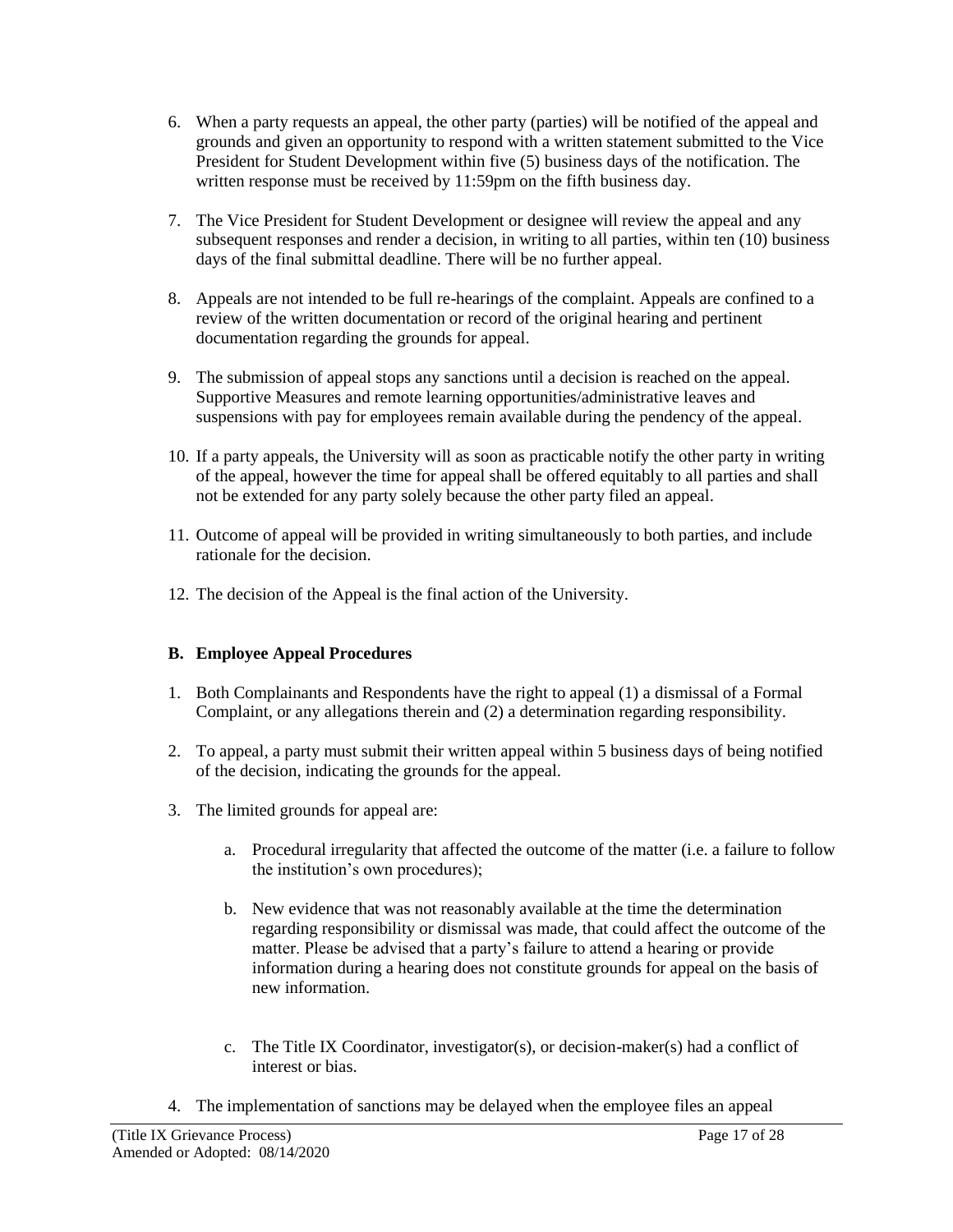- 6. When a party requests an appeal, the other party (parties) will be notified of the appeal and grounds and given an opportunity to respond with a written statement submitted to the Vice President for Student Development within five (5) business days of the notification. The written response must be received by 11:59pm on the fifth business day.
- 7. The Vice President for Student Development or designee will review the appeal and any subsequent responses and render a decision, in writing to all parties, within ten (10) business days of the final submittal deadline. There will be no further appeal.
- 8. Appeals are not intended to be full re-hearings of the complaint. Appeals are confined to a review of the written documentation or record of the original hearing and pertinent documentation regarding the grounds for appeal.
- 9. The submission of appeal stops any sanctions until a decision is reached on the appeal. Supportive Measures and remote learning opportunities/administrative leaves and suspensions with pay for employees remain available during the pendency of the appeal.
- 10. If a party appeals, the University will as soon as practicable notify the other party in writing of the appeal, however the time for appeal shall be offered equitably to all parties and shall not be extended for any party solely because the other party filed an appeal.
- 11. Outcome of appeal will be provided in writing simultaneously to both parties, and include rationale for the decision.
- 12. The decision of the Appeal is the final action of the University.

# **B. Employee Appeal Procedures**

- 1. Both Complainants and Respondents have the right to appeal (1) a dismissal of a Formal Complaint, or any allegations therein and (2) a determination regarding responsibility.
- 2. To appeal, a party must submit their written appeal within 5 business days of being notified of the decision, indicating the grounds for the appeal.
- 3. The limited grounds for appeal are:
	- a. Procedural irregularity that affected the outcome of the matter (i.e. a failure to follow the institution's own procedures);
	- b. New evidence that was not reasonably available at the time the determination regarding responsibility or dismissal was made, that could affect the outcome of the matter. Please be advised that a party's failure to attend a hearing or provide information during a hearing does not constitute grounds for appeal on the basis of new information.
	- c. The Title IX Coordinator, investigator(s), or decision-maker(s) had a conflict of interest or bias.
- 4. The implementation of sanctions may be delayed when the employee files an appeal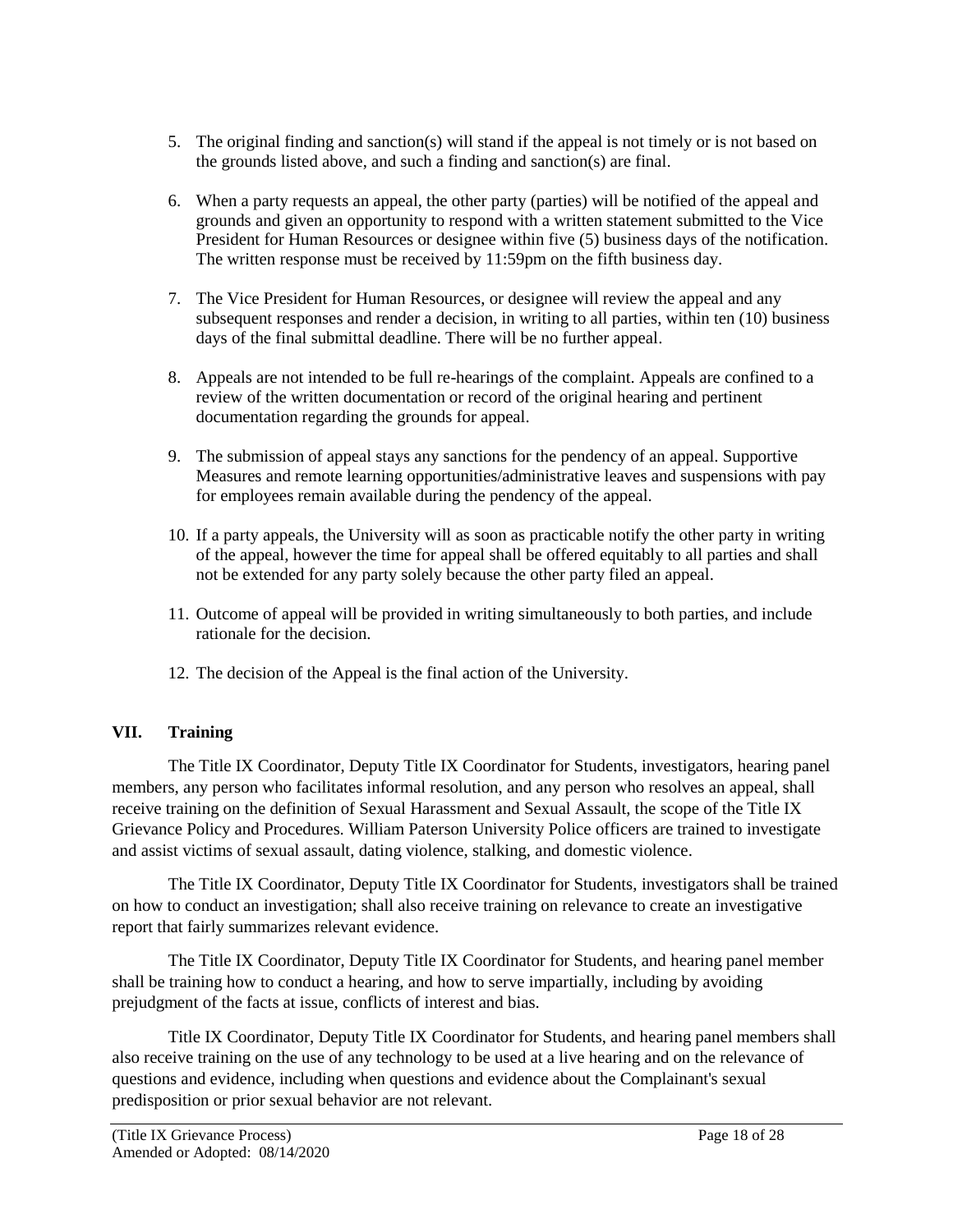- 5. The original finding and sanction(s) will stand if the appeal is not timely or is not based on the grounds listed above, and such a finding and sanction(s) are final.
- 6. When a party requests an appeal, the other party (parties) will be notified of the appeal and grounds and given an opportunity to respond with a written statement submitted to the Vice President for Human Resources or designee within five (5) business days of the notification. The written response must be received by 11:59pm on the fifth business day.
- 7. The Vice President for Human Resources, or designee will review the appeal and any subsequent responses and render a decision, in writing to all parties, within ten (10) business days of the final submittal deadline. There will be no further appeal.
- 8. Appeals are not intended to be full re-hearings of the complaint. Appeals are confined to a review of the written documentation or record of the original hearing and pertinent documentation regarding the grounds for appeal.
- 9. The submission of appeal stays any sanctions for the pendency of an appeal. Supportive Measures and remote learning opportunities/administrative leaves and suspensions with pay for employees remain available during the pendency of the appeal.
- 10. If a party appeals, the University will as soon as practicable notify the other party in writing of the appeal, however the time for appeal shall be offered equitably to all parties and shall not be extended for any party solely because the other party filed an appeal.
- 11. Outcome of appeal will be provided in writing simultaneously to both parties, and include rationale for the decision.
- 12. The decision of the Appeal is the final action of the University.

# **VII. Training**

The Title IX Coordinator, Deputy Title IX Coordinator for Students, investigators, hearing panel members, any person who facilitates informal resolution, and any person who resolves an appeal, shall receive training on the definition of Sexual Harassment and Sexual Assault, the scope of the Title IX Grievance Policy and Procedures. William Paterson University Police officers are trained to investigate and assist victims of sexual assault, dating violence, stalking, and domestic violence.

The Title IX Coordinator, Deputy Title IX Coordinator for Students, investigators shall be trained on how to conduct an investigation; shall also receive training on relevance to create an investigative report that fairly summarizes relevant evidence.

The Title IX Coordinator, Deputy Title IX Coordinator for Students, and hearing panel member shall be training how to conduct a hearing, and how to serve impartially, including by avoiding prejudgment of the facts at issue, conflicts of interest and bias.

Title IX Coordinator, Deputy Title IX Coordinator for Students, and hearing panel members shall also receive training on the use of any technology to be used at a live hearing and on the relevance of questions and evidence, including when questions and evidence about the Complainant's sexual predisposition or prior sexual behavior are not relevant.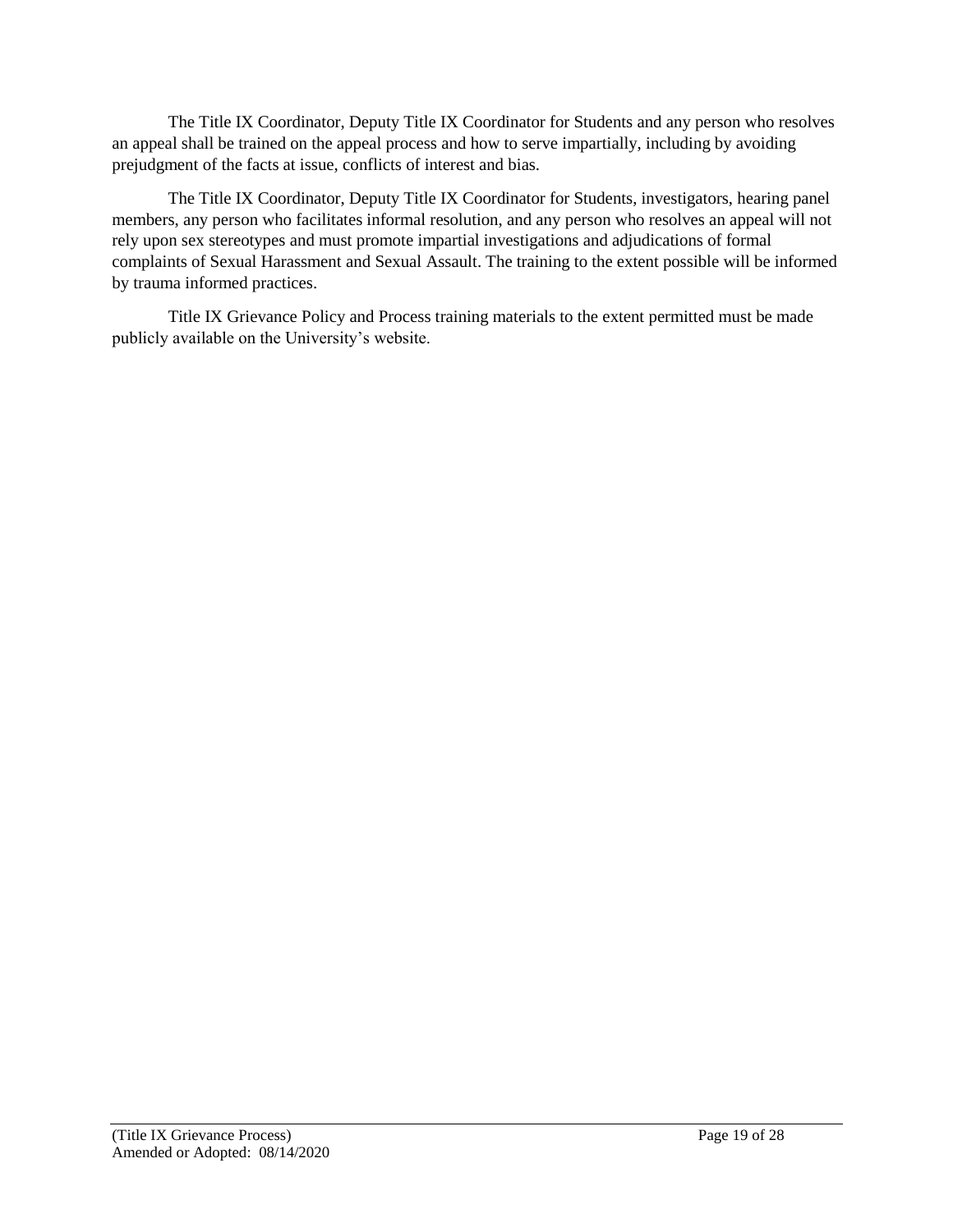The Title IX Coordinator, Deputy Title IX Coordinator for Students and any person who resolves an appeal shall be trained on the appeal process and how to serve impartially, including by avoiding prejudgment of the facts at issue, conflicts of interest and bias.

The Title IX Coordinator, Deputy Title IX Coordinator for Students, investigators, hearing panel members, any person who facilitates informal resolution, and any person who resolves an appeal will not rely upon sex stereotypes and must promote impartial investigations and adjudications of formal complaints of Sexual Harassment and Sexual Assault. The training to the extent possible will be informed by trauma informed practices.

Title IX Grievance Policy and Process training materials to the extent permitted must be made publicly available on the University's website.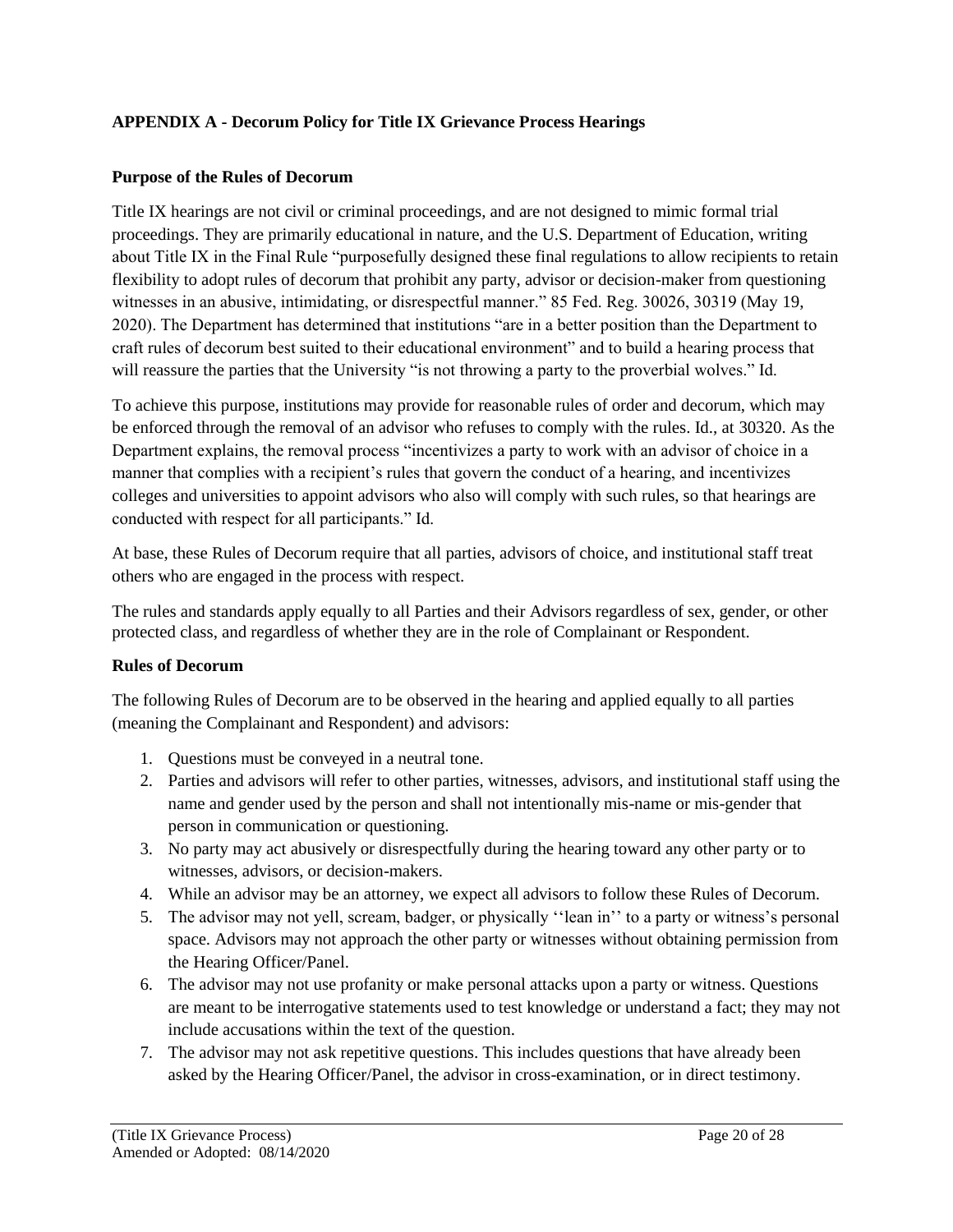## **APPENDIX A - Decorum Policy for Title IX Grievance Process Hearings**

### **Purpose of the Rules of Decorum**

Title IX hearings are not civil or criminal proceedings, and are not designed to mimic formal trial proceedings. They are primarily educational in nature, and the U.S. Department of Education, writing about Title IX in the Final Rule "purposefully designed these final regulations to allow recipients to retain flexibility to adopt rules of decorum that prohibit any party, advisor or decision-maker from questioning witnesses in an abusive, intimidating, or disrespectful manner." 85 Fed. Reg. 30026, 30319 (May 19, 2020). The Department has determined that institutions "are in a better position than the Department to craft rules of decorum best suited to their educational environment" and to build a hearing process that will reassure the parties that the University "is not throwing a party to the proverbial wolves." Id.

To achieve this purpose, institutions may provide for reasonable rules of order and decorum, which may be enforced through the removal of an advisor who refuses to comply with the rules. Id., at 30320. As the Department explains, the removal process "incentivizes a party to work with an advisor of choice in a manner that complies with a recipient's rules that govern the conduct of a hearing, and incentivizes colleges and universities to appoint advisors who also will comply with such rules, so that hearings are conducted with respect for all participants." Id.

At base, these Rules of Decorum require that all parties, advisors of choice, and institutional staff treat others who are engaged in the process with respect.

The rules and standards apply equally to all Parties and their Advisors regardless of sex, gender, or other protected class, and regardless of whether they are in the role of Complainant or Respondent.

### **Rules of Decorum**

The following Rules of Decorum are to be observed in the hearing and applied equally to all parties (meaning the Complainant and Respondent) and advisors:

- 1. Questions must be conveyed in a neutral tone.
- 2. Parties and advisors will refer to other parties, witnesses, advisors, and institutional staff using the name and gender used by the person and shall not intentionally mis-name or mis-gender that person in communication or questioning.
- 3. No party may act abusively or disrespectfully during the hearing toward any other party or to witnesses, advisors, or decision-makers.
- 4. While an advisor may be an attorney, we expect all advisors to follow these Rules of Decorum.
- 5. The advisor may not yell, scream, badger, or physically ''lean in'' to a party or witness's personal space. Advisors may not approach the other party or witnesses without obtaining permission from the Hearing Officer/Panel.
- 6. The advisor may not use profanity or make personal attacks upon a party or witness. Questions are meant to be interrogative statements used to test knowledge or understand a fact; they may not include accusations within the text of the question.
- 7. The advisor may not ask repetitive questions. This includes questions that have already been asked by the Hearing Officer/Panel, the advisor in cross-examination, or in direct testimony.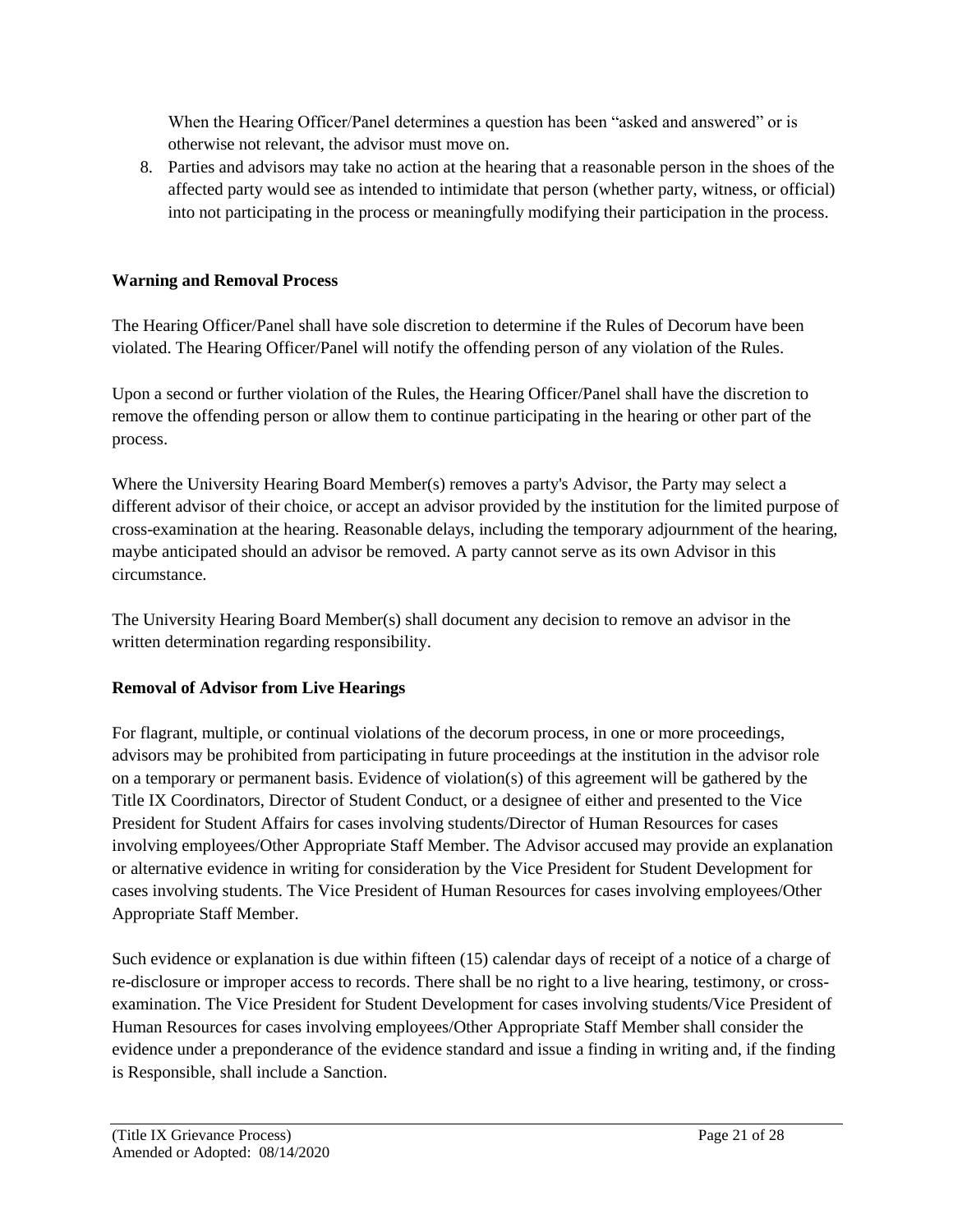When the Hearing Officer/Panel determines a question has been "asked and answered" or is otherwise not relevant, the advisor must move on.

8. Parties and advisors may take no action at the hearing that a reasonable person in the shoes of the affected party would see as intended to intimidate that person (whether party, witness, or official) into not participating in the process or meaningfully modifying their participation in the process.

# **Warning and Removal Process**

The Hearing Officer/Panel shall have sole discretion to determine if the Rules of Decorum have been violated. The Hearing Officer/Panel will notify the offending person of any violation of the Rules.

Upon a second or further violation of the Rules, the Hearing Officer/Panel shall have the discretion to remove the offending person or allow them to continue participating in the hearing or other part of the process.

Where the University Hearing Board Member(s) removes a party's Advisor, the Party may select a different advisor of their choice, or accept an advisor provided by the institution for the limited purpose of cross-examination at the hearing. Reasonable delays, including the temporary adjournment of the hearing, maybe anticipated should an advisor be removed. A party cannot serve as its own Advisor in this circumstance.

The University Hearing Board Member(s) shall document any decision to remove an advisor in the written determination regarding responsibility.

# **Removal of Advisor from Live Hearings**

For flagrant, multiple, or continual violations of the decorum process, in one or more proceedings, advisors may be prohibited from participating in future proceedings at the institution in the advisor role on a temporary or permanent basis. Evidence of violation(s) of this agreement will be gathered by the Title IX Coordinators, Director of Student Conduct, or a designee of either and presented to the Vice President for Student Affairs for cases involving students/Director of Human Resources for cases involving employees/Other Appropriate Staff Member. The Advisor accused may provide an explanation or alternative evidence in writing for consideration by the Vice President for Student Development for cases involving students. The Vice President of Human Resources for cases involving employees/Other Appropriate Staff Member.

Such evidence or explanation is due within fifteen (15) calendar days of receipt of a notice of a charge of re-disclosure or improper access to records. There shall be no right to a live hearing, testimony, or crossexamination. The Vice President for Student Development for cases involving students/Vice President of Human Resources for cases involving employees/Other Appropriate Staff Member shall consider the evidence under a preponderance of the evidence standard and issue a finding in writing and, if the finding is Responsible, shall include a Sanction.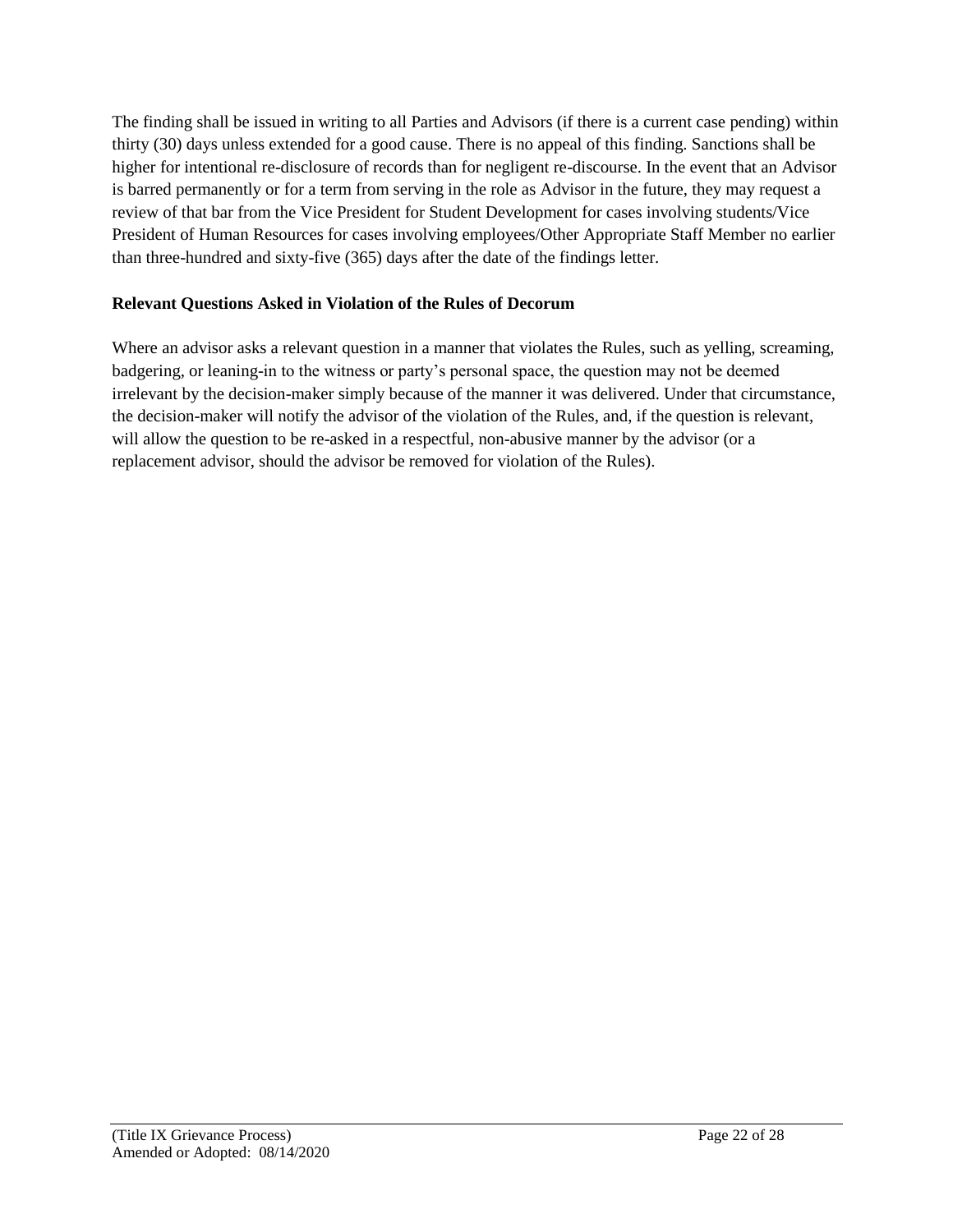The finding shall be issued in writing to all Parties and Advisors (if there is a current case pending) within thirty (30) days unless extended for a good cause. There is no appeal of this finding. Sanctions shall be higher for intentional re-disclosure of records than for negligent re-discourse. In the event that an Advisor is barred permanently or for a term from serving in the role as Advisor in the future, they may request a review of that bar from the Vice President for Student Development for cases involving students/Vice President of Human Resources for cases involving employees/Other Appropriate Staff Member no earlier than three-hundred and sixty-five (365) days after the date of the findings letter.

# **Relevant Questions Asked in Violation of the Rules of Decorum**

Where an advisor asks a relevant question in a manner that violates the Rules, such as yelling, screaming, badgering, or leaning-in to the witness or party's personal space, the question may not be deemed irrelevant by the decision-maker simply because of the manner it was delivered. Under that circumstance, the decision-maker will notify the advisor of the violation of the Rules, and, if the question is relevant, will allow the question to be re-asked in a respectful, non-abusive manner by the advisor (or a replacement advisor, should the advisor be removed for violation of the Rules).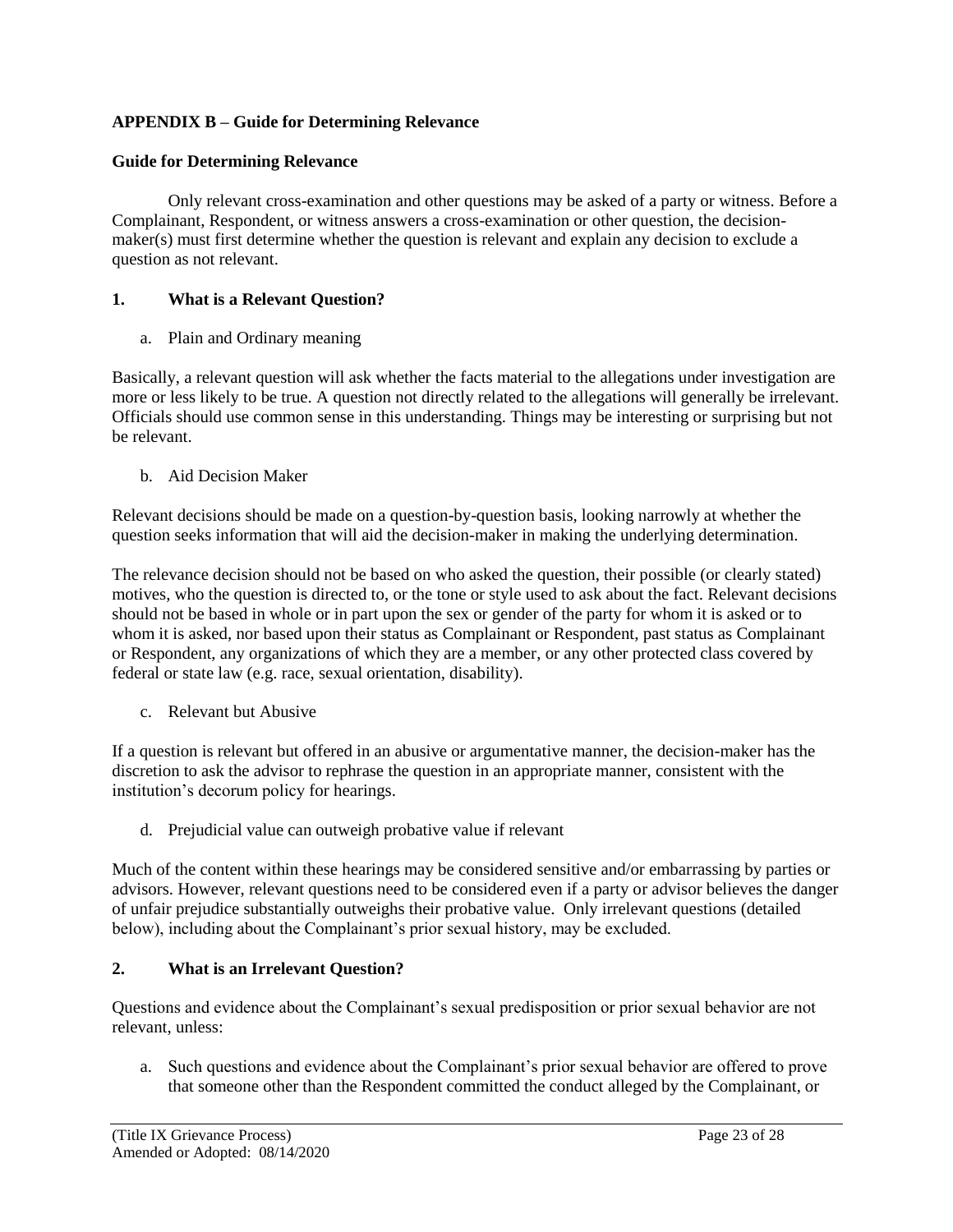## **APPENDIX B – Guide for Determining Relevance**

#### **Guide for Determining Relevance**

Only relevant cross-examination and other questions may be asked of a party or witness. Before a Complainant, Respondent, or witness answers a cross-examination or other question, the decisionmaker(s) must first determine whether the question is relevant and explain any decision to exclude a question as not relevant.

### **1. What is a Relevant Question?**

a. Plain and Ordinary meaning

Basically, a relevant question will ask whether the facts material to the allegations under investigation are more or less likely to be true. A question not directly related to the allegations will generally be irrelevant. Officials should use common sense in this understanding. Things may be interesting or surprising but not be relevant.

b. Aid Decision Maker

Relevant decisions should be made on a question-by-question basis, looking narrowly at whether the question seeks information that will aid the decision-maker in making the underlying determination.

The relevance decision should not be based on who asked the question, their possible (or clearly stated) motives, who the question is directed to, or the tone or style used to ask about the fact. Relevant decisions should not be based in whole or in part upon the sex or gender of the party for whom it is asked or to whom it is asked, nor based upon their status as Complainant or Respondent, past status as Complainant or Respondent, any organizations of which they are a member, or any other protected class covered by federal or state law (e.g. race, sexual orientation, disability).

c. Relevant but Abusive

If a question is relevant but offered in an abusive or argumentative manner, the decision-maker has the discretion to ask the advisor to rephrase the question in an appropriate manner, consistent with the institution's decorum policy for hearings.

d. Prejudicial value can outweigh probative value if relevant

Much of the content within these hearings may be considered sensitive and/or embarrassing by parties or advisors. However, relevant questions need to be considered even if a party or advisor believes the danger of unfair prejudice substantially outweighs their probative value. Only irrelevant questions (detailed below), including about the Complainant's prior sexual history, may be excluded.

### **2. What is an Irrelevant Question?**

Questions and evidence about the Complainant's sexual predisposition or prior sexual behavior are not relevant, unless:

a. Such questions and evidence about the Complainant's prior sexual behavior are offered to prove that someone other than the Respondent committed the conduct alleged by the Complainant, or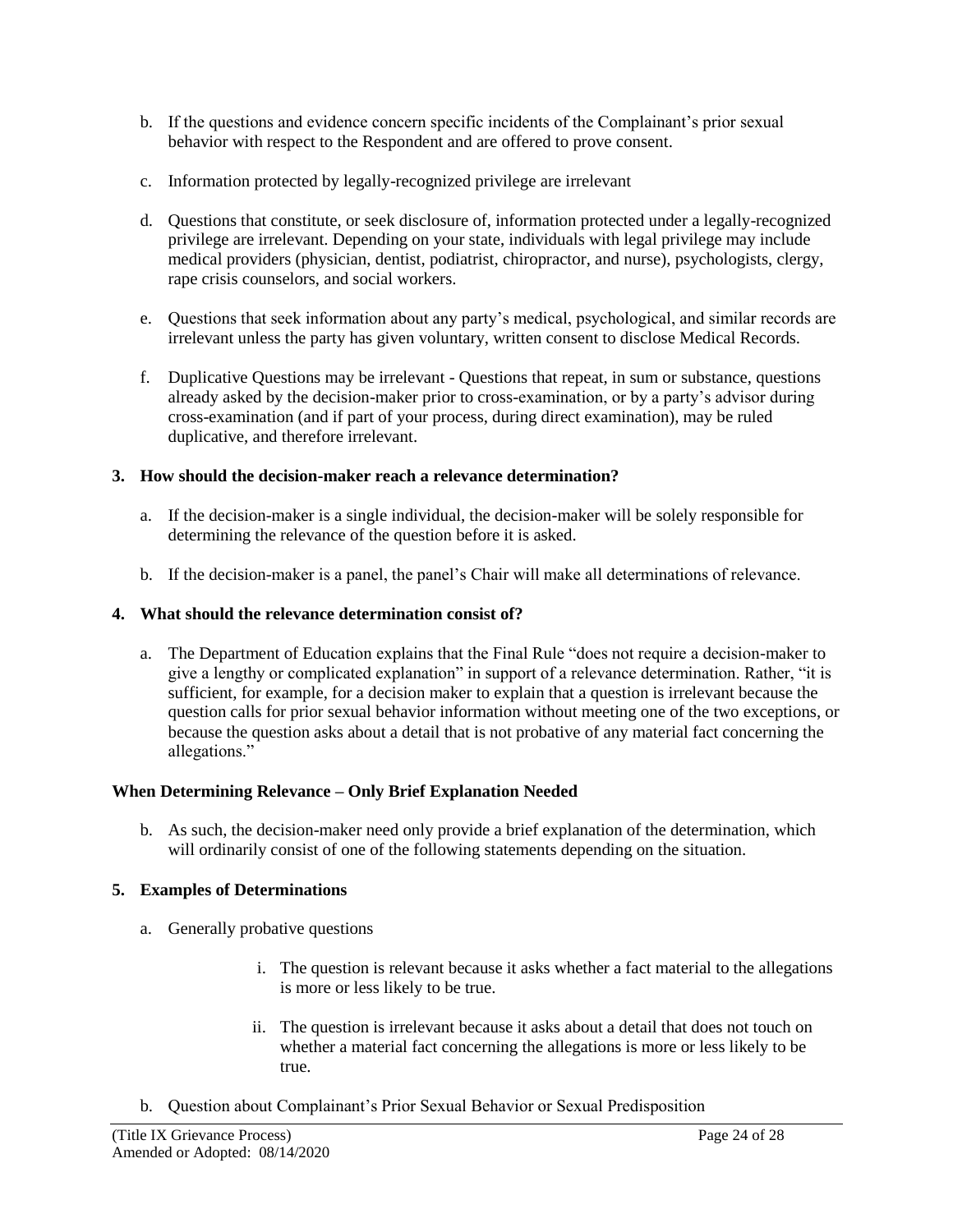- b. If the questions and evidence concern specific incidents of the Complainant's prior sexual behavior with respect to the Respondent and are offered to prove consent.
- c. Information protected by legally-recognized privilege are irrelevant
- d. Questions that constitute, or seek disclosure of, information protected under a legally-recognized privilege are irrelevant. Depending on your state, individuals with legal privilege may include medical providers (physician, dentist, podiatrist, chiropractor, and nurse), psychologists, clergy, rape crisis counselors, and social workers.
- e. Questions that seek information about any party's medical, psychological, and similar records are irrelevant unless the party has given voluntary, written consent to disclose Medical Records.
- f. Duplicative Questions may be irrelevant Questions that repeat, in sum or substance, questions already asked by the decision-maker prior to cross-examination, or by a party's advisor during cross-examination (and if part of your process, during direct examination), may be ruled duplicative, and therefore irrelevant.

### **3. How should the decision-maker reach a relevance determination?**

- a. If the decision-maker is a single individual, the decision-maker will be solely responsible for determining the relevance of the question before it is asked.
- b. If the decision-maker is a panel, the panel's Chair will make all determinations of relevance.

### **4. What should the relevance determination consist of?**

a. The Department of Education explains that the Final Rule "does not require a decision-maker to give a lengthy or complicated explanation" in support of a relevance determination. Rather, "it is sufficient, for example, for a decision maker to explain that a question is irrelevant because the question calls for prior sexual behavior information without meeting one of the two exceptions, or because the question asks about a detail that is not probative of any material fact concerning the allegations."

### **When Determining Relevance – Only Brief Explanation Needed**

b. As such, the decision-maker need only provide a brief explanation of the determination, which will ordinarily consist of one of the following statements depending on the situation.

### **5. Examples of Determinations**

- a. Generally probative questions
	- i. The question is relevant because it asks whether a fact material to the allegations is more or less likely to be true.
	- ii. The question is irrelevant because it asks about a detail that does not touch on whether a material fact concerning the allegations is more or less likely to be true.
- b. Question about Complainant's Prior Sexual Behavior or Sexual Predisposition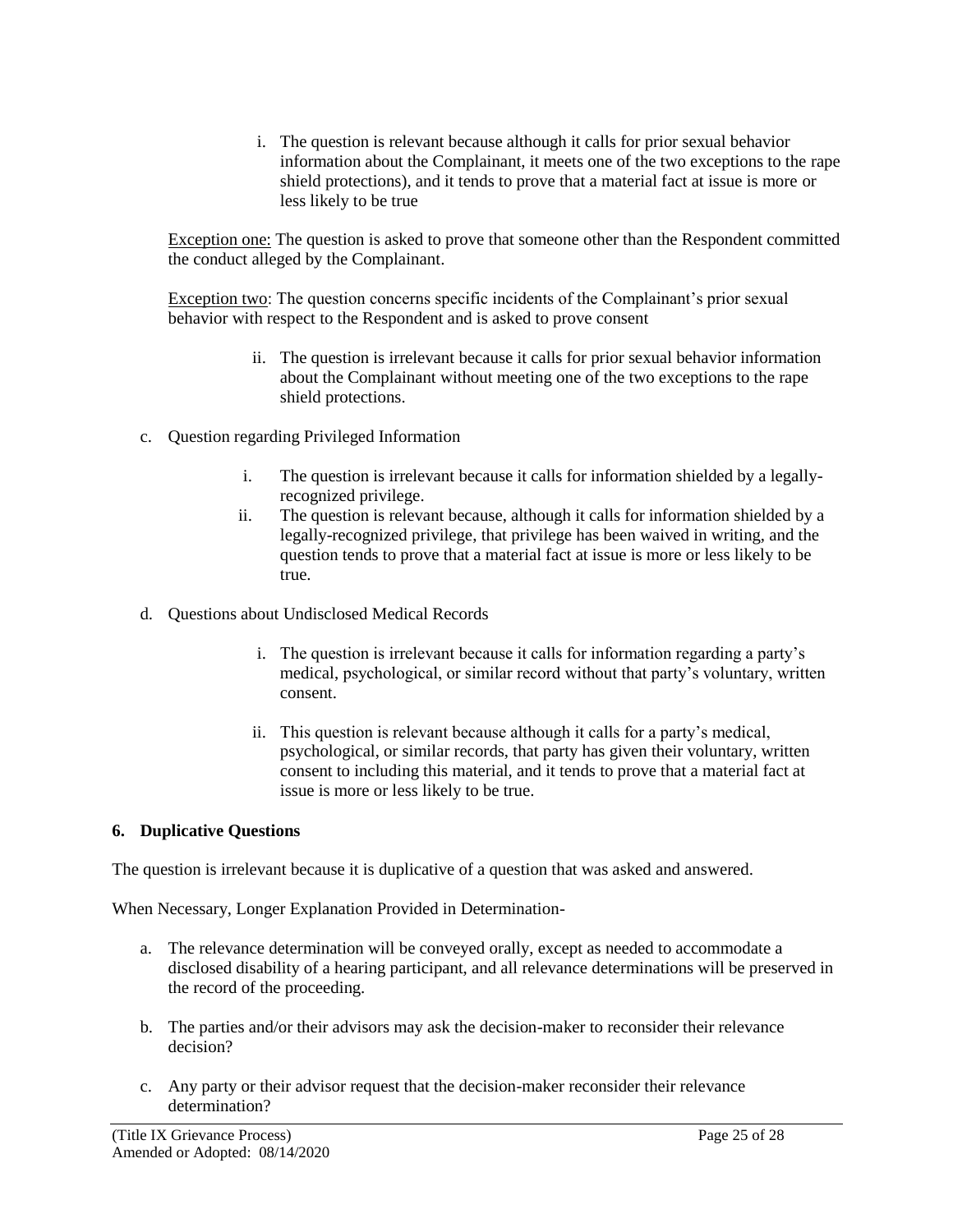i. The question is relevant because although it calls for prior sexual behavior information about the Complainant, it meets one of the two exceptions to the rape shield protections), and it tends to prove that a material fact at issue is more or less likely to be true

Exception one: The question is asked to prove that someone other than the Respondent committed the conduct alleged by the Complainant.

Exception two: The question concerns specific incidents of the Complainant's prior sexual behavior with respect to the Respondent and is asked to prove consent

- ii. The question is irrelevant because it calls for prior sexual behavior information about the Complainant without meeting one of the two exceptions to the rape shield protections.
- c. Question regarding Privileged Information
	- i. The question is irrelevant because it calls for information shielded by a legallyrecognized privilege.
	- ii. The question is relevant because, although it calls for information shielded by a legally-recognized privilege, that privilege has been waived in writing, and the question tends to prove that a material fact at issue is more or less likely to be true.
- d. Questions about Undisclosed Medical Records
	- i. The question is irrelevant because it calls for information regarding a party's medical, psychological, or similar record without that party's voluntary, written consent.
	- ii. This question is relevant because although it calls for a party's medical, psychological, or similar records, that party has given their voluntary, written consent to including this material, and it tends to prove that a material fact at issue is more or less likely to be true.

# **6. Duplicative Questions**

The question is irrelevant because it is duplicative of a question that was asked and answered.

When Necessary, Longer Explanation Provided in Determination-

- a. The relevance determination will be conveyed orally, except as needed to accommodate a disclosed disability of a hearing participant, and all relevance determinations will be preserved in the record of the proceeding.
- b. The parties and/or their advisors may ask the decision-maker to reconsider their relevance decision?
- c. Any party or their advisor request that the decision-maker reconsider their relevance determination?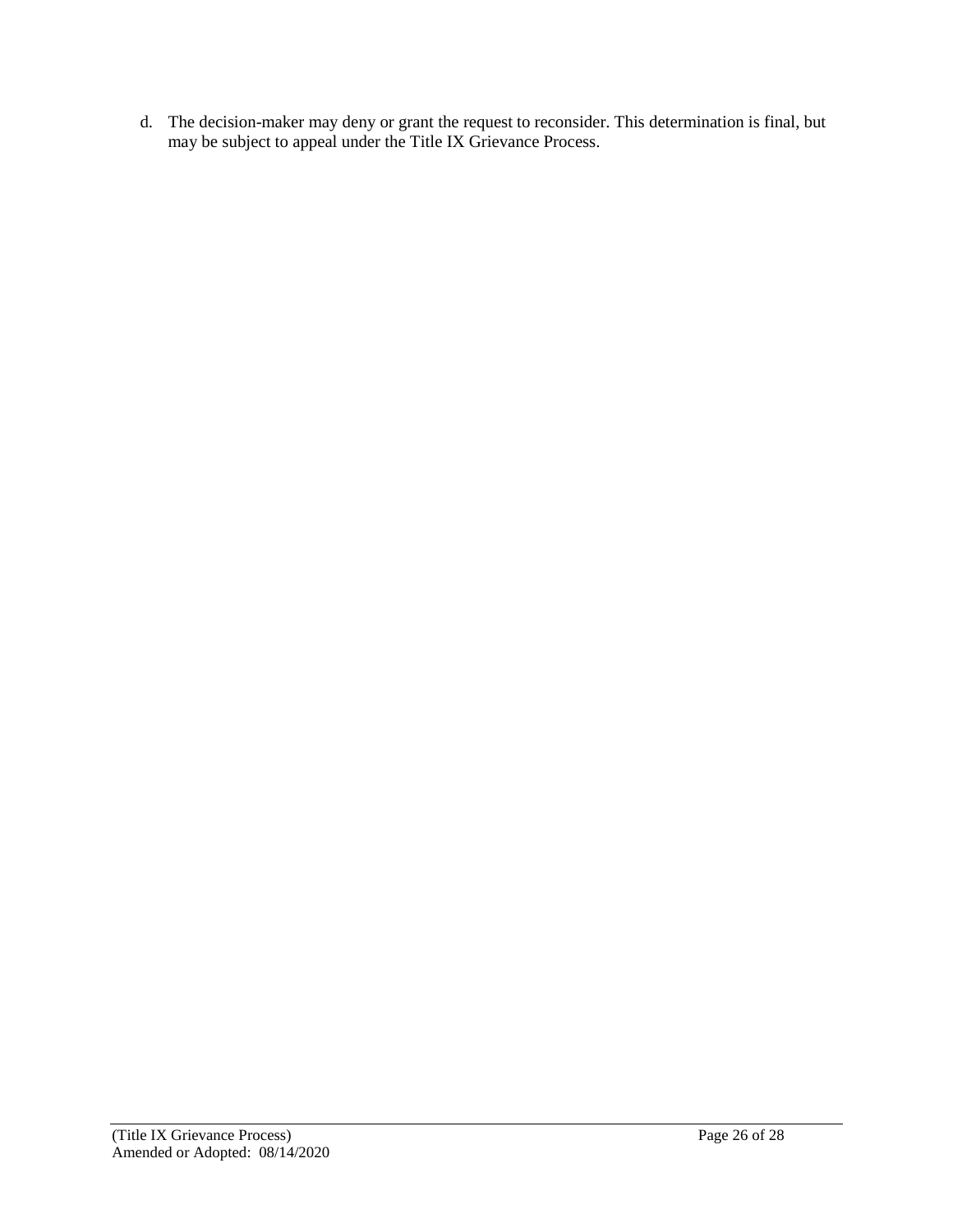d. The decision-maker may deny or grant the request to reconsider. This determination is final, but may be subject to appeal under the Title IX Grievance Process.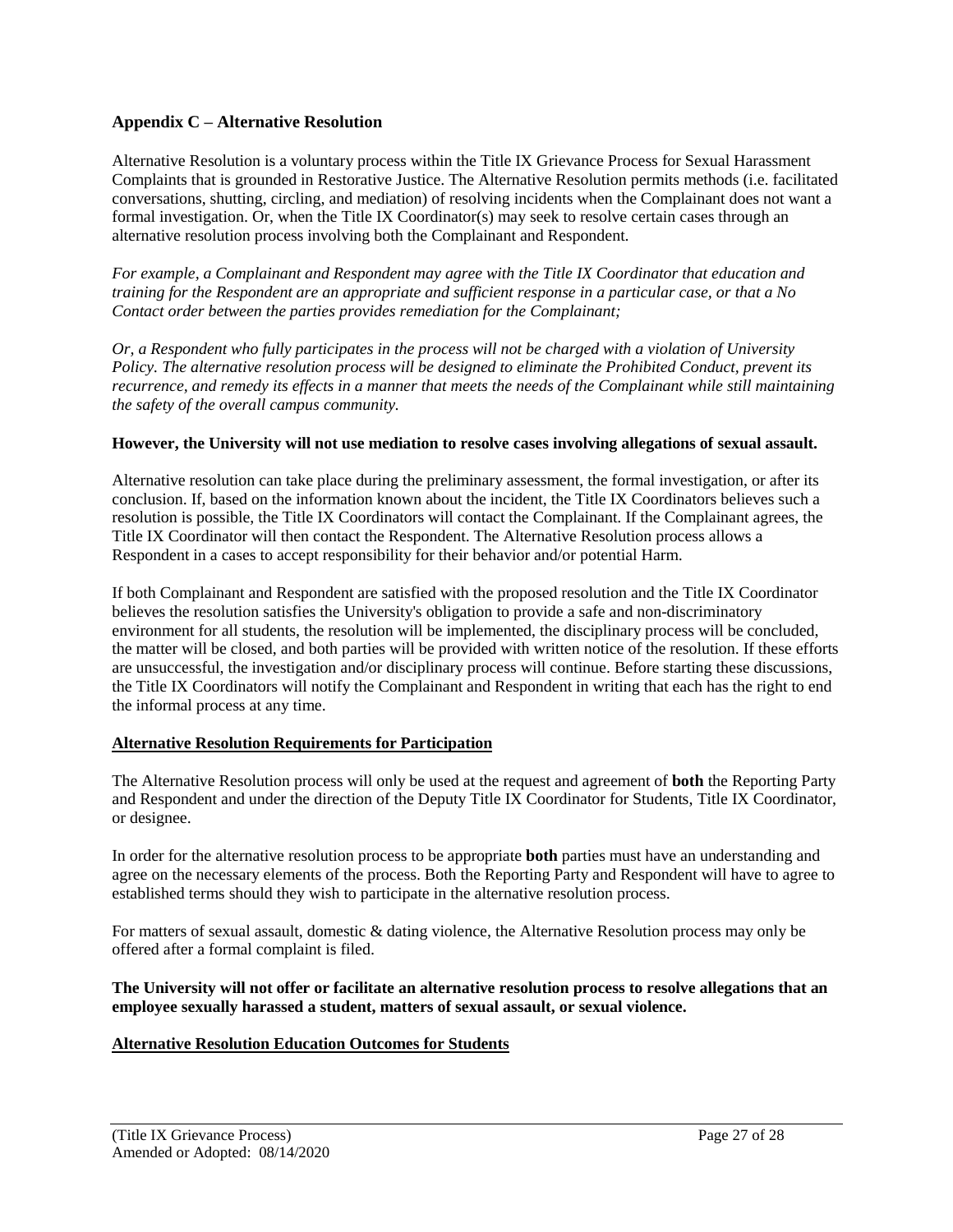#### **Appendix C – Alternative Resolution**

Alternative Resolution is a voluntary process within the Title IX Grievance Process for Sexual Harassment Complaints that is grounded in Restorative Justice. The Alternative Resolution permits methods (i.e. facilitated conversations, shutting, circling, and mediation) of resolving incidents when the Complainant does not want a formal investigation. Or, when the Title IX Coordinator(s) may seek to resolve certain cases through an alternative resolution process involving both the Complainant and Respondent.

*For example, a Complainant and Respondent may agree with the Title IX Coordinator that education and training for the Respondent are an appropriate and sufficient response in a particular case, or that a No Contact order between the parties provides remediation for the Complainant;* 

*Or, a Respondent who fully participates in the process will not be charged with a violation of University Policy. The alternative resolution process will be designed to eliminate the Prohibited Conduct, prevent its recurrence, and remedy its effects in a manner that meets the needs of the Complainant while still maintaining the safety of the overall campus community.*

#### **However, the University will not use mediation to resolve cases involving allegations of sexual assault.**

Alternative resolution can take place during the preliminary assessment, the formal investigation, or after its conclusion. If, based on the information known about the incident, the Title IX Coordinators believes such a resolution is possible, the Title IX Coordinators will contact the Complainant. If the Complainant agrees, the Title IX Coordinator will then contact the Respondent. The Alternative Resolution process allows a Respondent in a cases to accept responsibility for their behavior and/or potential Harm.

If both Complainant and Respondent are satisfied with the proposed resolution and the Title IX Coordinator believes the resolution satisfies the University's obligation to provide a safe and non-discriminatory environment for all students, the resolution will be implemented, the disciplinary process will be concluded, the matter will be closed, and both parties will be provided with written notice of the resolution. If these efforts are unsuccessful, the investigation and/or disciplinary process will continue. Before starting these discussions, the Title IX Coordinators will notify the Complainant and Respondent in writing that each has the right to end the informal process at any time.

#### **Alternative Resolution Requirements for Participation**

The Alternative Resolution process will only be used at the request and agreement of **both** the Reporting Party and Respondent and under the direction of the Deputy Title IX Coordinator for Students, Title IX Coordinator, or designee.

In order for the alternative resolution process to be appropriate **both** parties must have an understanding and agree on the necessary elements of the process. Both the Reporting Party and Respondent will have to agree to established terms should they wish to participate in the alternative resolution process.

For matters of sexual assault, domestic & dating violence, the Alternative Resolution process may only be offered after a formal complaint is filed.

#### **The University will not offer or facilitate an alternative resolution process to resolve allegations that an employee sexually harassed a student, matters of sexual assault, or sexual violence.**

#### **Alternative Resolution Education Outcomes for Students**